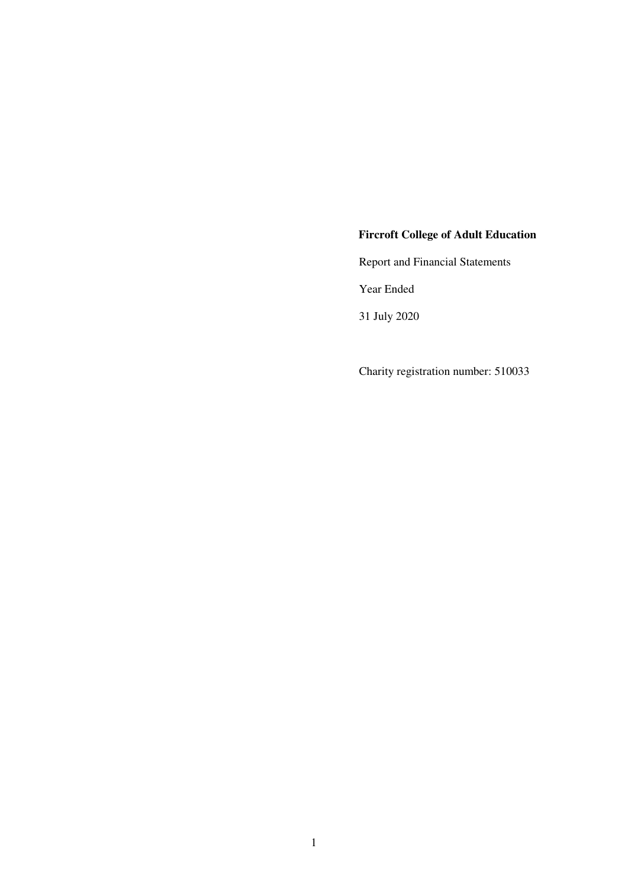# **Fircroft College of Adult Education**

Report and Financial Statements

Year Ended

31 July 2020

Charity registration number: 510033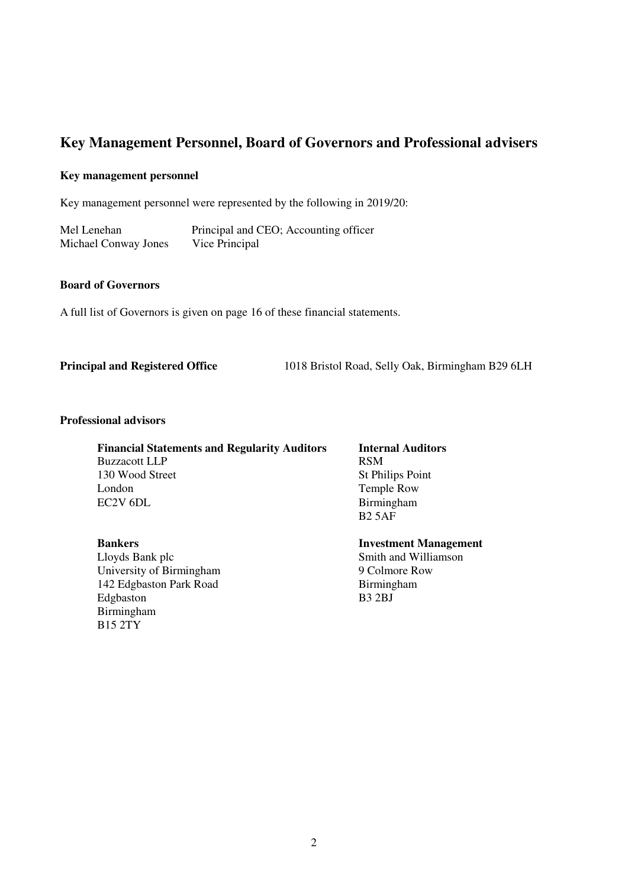# **Key Management Personnel, Board of Governors and Professional advisers**

## **Key management personnel**

Key management personnel were represented by the following in 2019/20:

Mel Lenehan Principal and CEO; Accounting officer<br>Michael Conway Jones Vice Principal Michael Conway Jones

# **Board of Governors**

A full list of Governors is given on page 16 of these financial statements.

**Principal and Registered Office** 1018 Bristol Road, Selly Oak, Birmingham B29 6LH

#### **Professional advisors**

 **Financial Statements and Regularity Auditors Internal Auditors** Buzzacott LLP<br>130 Wood Street St Phi London Temple Row<br>EC2V 6DL Birmingham

**Bankers Investment Management**  Lloyds Bank plc<br>
University of Birmingham<br>
Smith and Williamson<br>
9 Colmore Row<br>
9 Colmore Row University of Birmingham 9 Colmore R<br>
142 Edgbaston Park Road Birmingham 142 Edgbaston Park Road Birming<br>Edgbaston B3 2BJ **Edgbaston** Birmingham B15 2TY

**St Philips Point** Birmingham<br>B<sub>2</sub> 5AF B2 5AF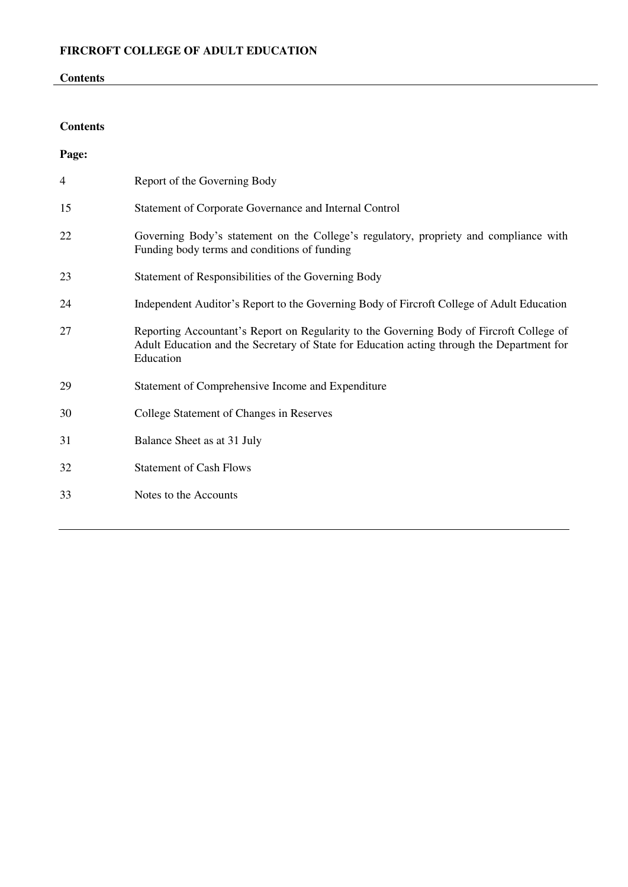# **Contents**

# **Contents**

| Page: |                                                                                                                                                                                                     |
|-------|-----------------------------------------------------------------------------------------------------------------------------------------------------------------------------------------------------|
| 4     | Report of the Governing Body                                                                                                                                                                        |
| 15    | Statement of Corporate Governance and Internal Control                                                                                                                                              |
| 22    | Governing Body's statement on the College's regulatory, propriety and compliance with<br>Funding body terms and conditions of funding                                                               |
| 23    | Statement of Responsibilities of the Governing Body                                                                                                                                                 |
| 24    | Independent Auditor's Report to the Governing Body of Fircroft College of Adult Education                                                                                                           |
| 27    | Reporting Accountant's Report on Regularity to the Governing Body of Fircroft College of<br>Adult Education and the Secretary of State for Education acting through the Department for<br>Education |
| 29    | Statement of Comprehensive Income and Expenditure                                                                                                                                                   |
| 30    | College Statement of Changes in Reserves                                                                                                                                                            |
| 31    | Balance Sheet as at 31 July                                                                                                                                                                         |
| 32    | <b>Statement of Cash Flows</b>                                                                                                                                                                      |
| 33    | Notes to the Accounts                                                                                                                                                                               |
|       |                                                                                                                                                                                                     |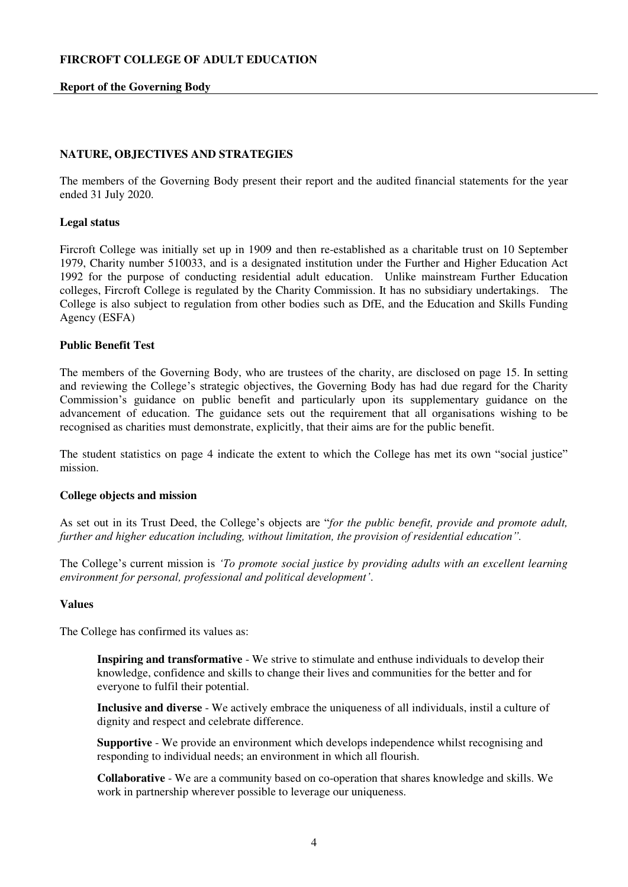## **Report of the Governing Body**

# <span id="page-3-0"></span>**NATURE, OBJECTIVES AND STRATEGIES**

The members of the Governing Body present their report and the audited financial statements for the year ended 31 July 2020.

## **Legal status**

Fircroft College was initially set up in 1909 and then re-established as a charitable trust on 10 September 1979, Charity number 510033, and is a designated institution under the Further and Higher Education Act 1992 for the purpose of conducting residential adult education. Unlike mainstream Further Education colleges, Fircroft College is regulated by the Charity Commission. It has no subsidiary undertakings. The College is also subject to regulation from other bodies such as DfE, and the Education and Skills Funding Agency (ESFA)

#### **Public Benefit Test**

The members of the Governing Body, who are trustees of the charity, are disclosed on page 15. In setting and reviewing the College's strategic objectives, the Governing Body has had due regard for the Charity Commission's guidance on public benefit and particularly upon its supplementary guidance on the advancement of education. The guidance sets out the requirement that all organisations wishing to be recognised as charities must demonstrate, explicitly, that their aims are for the public benefit.

The student statistics on page 4 indicate the extent to which the College has met its own "social justice" mission.

## **College objects and mission**

As set out in its Trust Deed, the College's objects are "*for the public benefit, provide and promote adult, further and higher education including, without limitation, the provision of residential education".*

The College's current mission is *'To promote social justice by providing adults with an excellent learning environment for personal, professional and political development'*.

### **Values**

The College has confirmed its values as:

**Inspiring and transformative** - We strive to stimulate and enthuse individuals to develop their knowledge, confidence and skills to change their lives and communities for the better and for everyone to fulfil their potential.

**Inclusive and diverse** - We actively embrace the uniqueness of all individuals, instil a culture of dignity and respect and celebrate difference.

**Supportive** - We provide an environment which develops independence whilst recognising and responding to individual needs; an environment in which all flourish.

**Collaborative** - We are a community based on co-operation that shares knowledge and skills. We work in partnership wherever possible to leverage our uniqueness.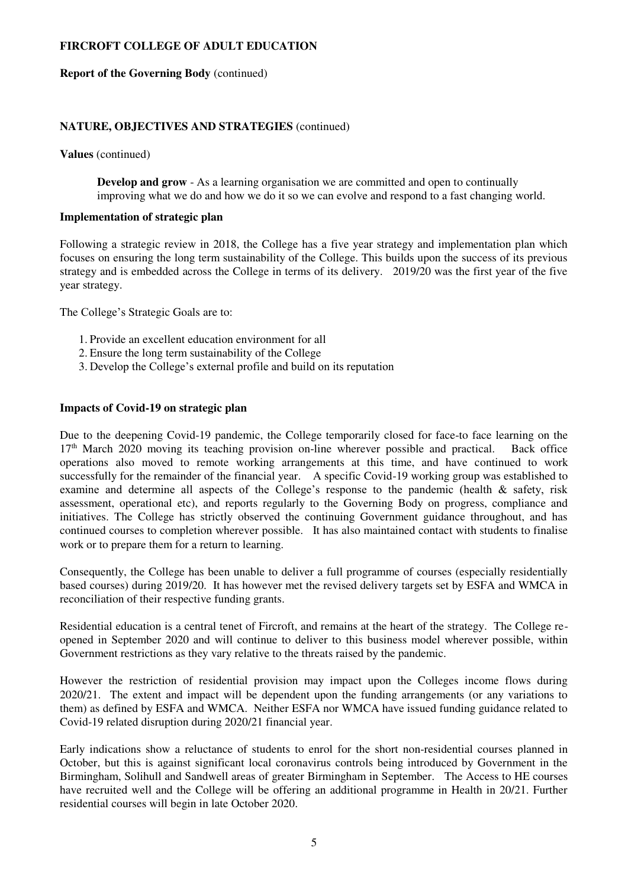#### **Report of the Governing Body** (continued)

## **NATURE, OBJECTIVES AND STRATEGIES** (continued)

**Values** (continued)

**Develop and grow** - As a learning organisation we are committed and open to continually improving what we do and how we do it so we can evolve and respond to a fast changing world.

## **Implementation of strategic plan**

Following a strategic review in 2018, the College has a five year strategy and implementation plan which focuses on ensuring the long term sustainability of the College. This builds upon the success of its previous strategy and is embedded across the College in terms of its delivery. 2019/20 was the first year of the five year strategy.

The College's Strategic Goals are to:

- 1. Provide an excellent education environment for all
- 2. Ensure the long term sustainability of the College
- 3. Develop the College's external profile and build on its reputation

## **Impacts of Covid-19 on strategic plan**

Due to the deepening Covid-19 pandemic, the College temporarily closed for face-to face learning on the 17th March 2020 moving its teaching provision on-line wherever possible and practical. Back office operations also moved to remote working arrangements at this time, and have continued to work successfully for the remainder of the financial year. A specific Covid-19 working group was established to examine and determine all aspects of the College's response to the pandemic (health & safety, risk assessment, operational etc), and reports regularly to the Governing Body on progress, compliance and initiatives. The College has strictly observed the continuing Government guidance throughout, and has continued courses to completion wherever possible. It has also maintained contact with students to finalise work or to prepare them for a return to learning.

Consequently, the College has been unable to deliver a full programme of courses (especially residentially based courses) during 2019/20. It has however met the revised delivery targets set by ESFA and WMCA in reconciliation of their respective funding grants.

Residential education is a central tenet of Fircroft, and remains at the heart of the strategy. The College reopened in September 2020 and will continue to deliver to this business model wherever possible, within Government restrictions as they vary relative to the threats raised by the pandemic.

However the restriction of residential provision may impact upon the Colleges income flows during 2020/21. The extent and impact will be dependent upon the funding arrangements (or any variations to them) as defined by ESFA and WMCA. Neither ESFA nor WMCA have issued funding guidance related to Covid-19 related disruption during 2020/21 financial year.

Early indications show a reluctance of students to enrol for the short non-residential courses planned in October, but this is against significant local coronavirus controls being introduced by Government in the Birmingham, Solihull and Sandwell areas of greater Birmingham in September. The Access to HE courses have recruited well and the College will be offering an additional programme in Health in 20/21. Further residential courses will begin in late October 2020.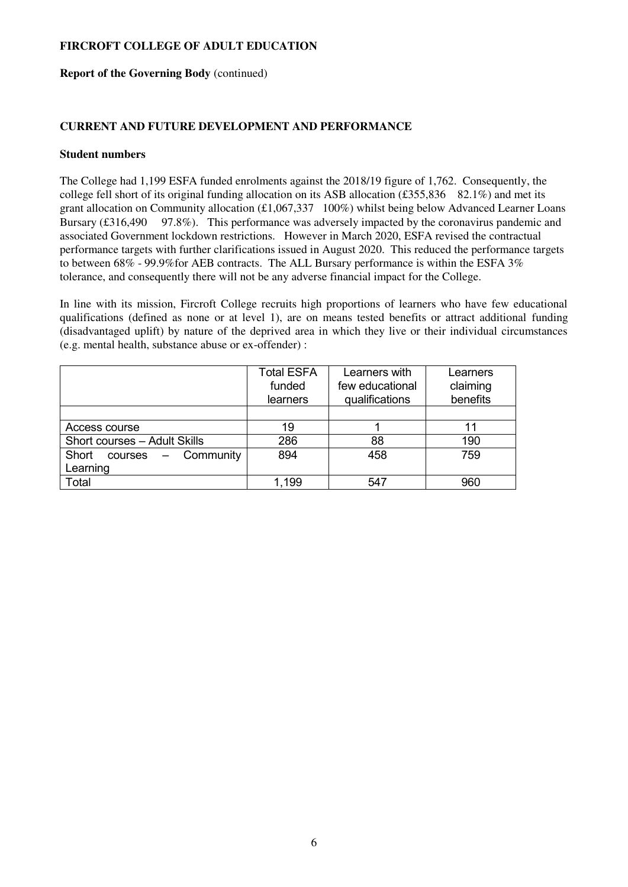### **Report of the Governing Body** (continued)

# **CURRENT AND FUTURE DEVELOPMENT AND PERFORMANCE**

#### **Student numbers**

The College had 1,199 ESFA funded enrolments against the 2018/19 figure of 1,762. Consequently, the college fell short of its original funding allocation on its ASB allocation (£355,836 82.1%) and met its grant allocation on Community allocation (£1,067,337 100%) whilst being below Advanced Learner Loans Bursary (£316,490 97.8%). This performance was adversely impacted by the coronavirus pandemic and associated Government lockdown restrictions. However in March 2020, ESFA revised the contractual performance targets with further clarifications issued in August 2020. This reduced the performance targets to between 68% - 99.9%for AEB contracts. The ALL Bursary performance is within the ESFA 3% tolerance, and consequently there will not be any adverse financial impact for the College.

In line with its mission, Fircroft College recruits high proportions of learners who have few educational qualifications (defined as none or at level 1), are on means tested benefits or attract additional funding (disadvantaged uplift) by nature of the deprived area in which they live or their individual circumstances (e.g. mental health, substance abuse or ex-offender) :

|                                  | <b>Total ESFA</b> | Learners with   | Learners |
|----------------------------------|-------------------|-----------------|----------|
|                                  | funded            | few educational | claiming |
|                                  | learners          | qualifications  | benefits |
|                                  |                   |                 |          |
| Access course                    | 19                |                 |          |
| Short courses - Adult Skills     | 286               | 88              | 190      |
| Community<br>Short<br>$course -$ | 894               | 458             | 759      |
| Learning                         |                   |                 |          |
| Total                            | 1,199             | 547             | 960      |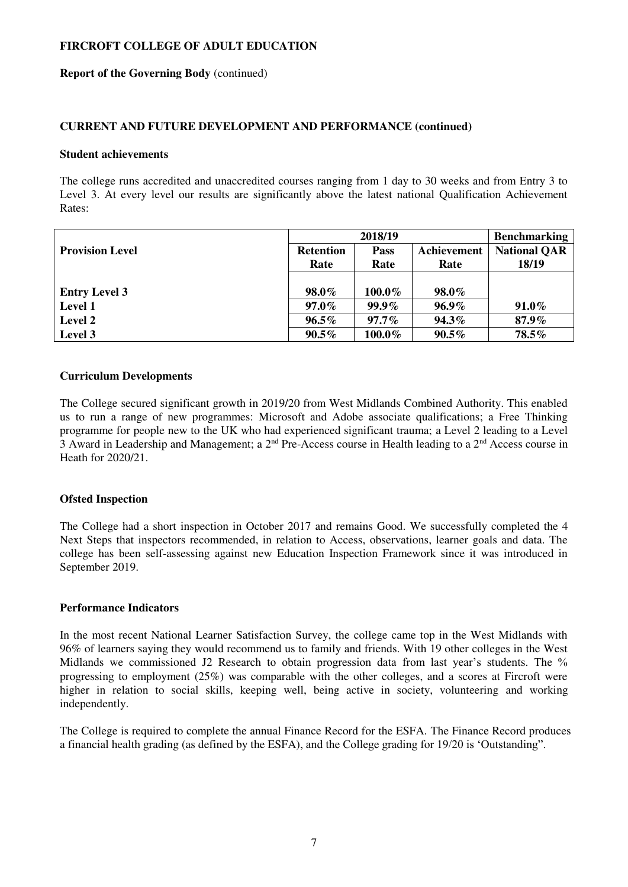#### **Report of the Governing Body** (continued)

## **CURRENT AND FUTURE DEVELOPMENT AND PERFORMANCE (continued)**

#### **Student achievements**

The college runs accredited and unaccredited courses ranging from 1 day to 30 weeks and from Entry 3 to Level 3. At every level our results are significantly above the latest national Qualification Achievement Rates:

|                        | 2018/19          |             |             | <b>Benchmarking</b> |
|------------------------|------------------|-------------|-------------|---------------------|
| <b>Provision Level</b> | <b>Retention</b> | <b>Pass</b> | Achievement | <b>National QAR</b> |
|                        | Rate             | Rate        | Rate        | 18/19               |
|                        |                  |             |             |                     |
| <b>Entry Level 3</b>   | 98.0%            | 100.0%      | 98.0%       |                     |
| <b>Level 1</b>         | $97.0\%$         | $99.9\%$    | $96.9\%$    | $91.0\%$            |
| Level 2                | $96.5\%$         | $97.7\%$    | 94.3%       | 87.9%               |
| Level 3                | $90.5\%$         | $100.0\%$   | $90.5\%$    | $78.5\%$            |

## **Curriculum Developments**

The College secured significant growth in 2019/20 from West Midlands Combined Authority. This enabled us to run a range of new programmes: Microsoft and Adobe associate qualifications; a Free Thinking programme for people new to the UK who had experienced significant trauma; a Level 2 leading to a Level 3 Award in Leadership and Management; a 2nd Pre-Access course in Health leading to a 2nd Access course in Heath for 2020/21.

## **Ofsted Inspection**

The College had a short inspection in October 2017 and remains Good. We successfully completed the 4 Next Steps that inspectors recommended, in relation to Access, observations, learner goals and data. The college has been self-assessing against new Education Inspection Framework since it was introduced in September 2019.

## **Performance Indicators**

In the most recent National Learner Satisfaction Survey, the college came top in the West Midlands with 96% of learners saying they would recommend us to family and friends. With 19 other colleges in the West Midlands we commissioned J2 Research to obtain progression data from last year's students. The % progressing to employment (25%) was comparable with the other colleges, and a scores at Fircroft were higher in relation to social skills, keeping well, being active in society, volunteering and working independently.

The College is required to complete the annual Finance Record for the ESFA. The Finance Record produces a financial health grading (as defined by the ESFA), and the College grading for 19/20 is 'Outstanding".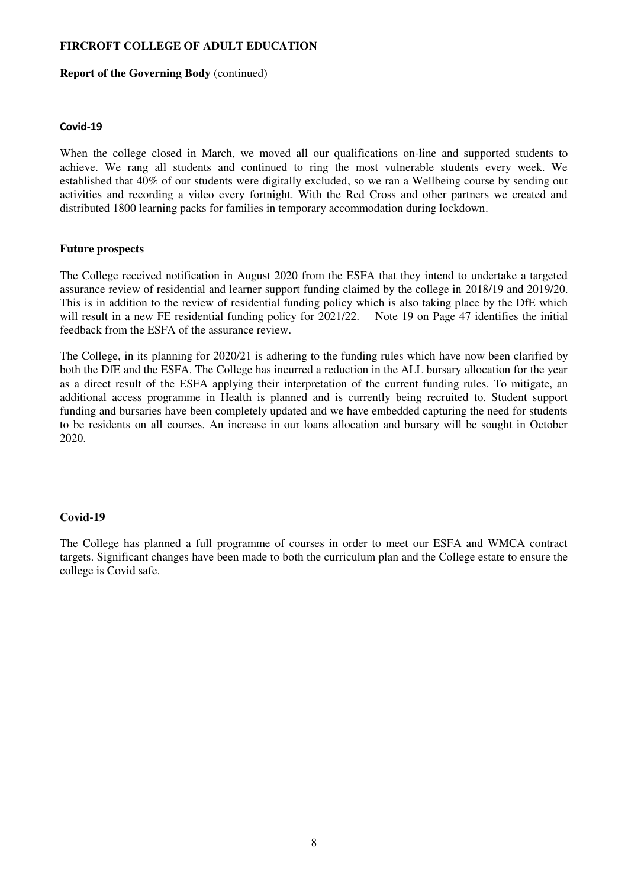#### **Report of the Governing Body** (continued)

#### **Covid-19**

When the college closed in March, we moved all our qualifications on-line and supported students to achieve. We rang all students and continued to ring the most vulnerable students every week. We established that 40% of our students were digitally excluded, so we ran a Wellbeing course by sending out activities and recording a video every fortnight. With the Red Cross and other partners we created and distributed 1800 learning packs for families in temporary accommodation during lockdown.

### **Future prospects**

The College received notification in August 2020 from the ESFA that they intend to undertake a targeted assurance review of residential and learner support funding claimed by the college in 2018/19 and 2019/20. This is in addition to the review of residential funding policy which is also taking place by the DfE which will result in a new FE residential funding policy for 2021/22. Note 19 on Page 47 identifies the initial feedback from the ESFA of the assurance review.

The College, in its planning for 2020/21 is adhering to the funding rules which have now been clarified by both the DfE and the ESFA. The College has incurred a reduction in the ALL bursary allocation for the year as a direct result of the ESFA applying their interpretation of the current funding rules. To mitigate, an additional access programme in Health is planned and is currently being recruited to. Student support funding and bursaries have been completely updated and we have embedded capturing the need for students to be residents on all courses. An increase in our loans allocation and bursary will be sought in October 2020.

## **Covid-19**

The College has planned a full programme of courses in order to meet our ESFA and WMCA contract targets. Significant changes have been made to both the curriculum plan and the College estate to ensure the college is Covid safe.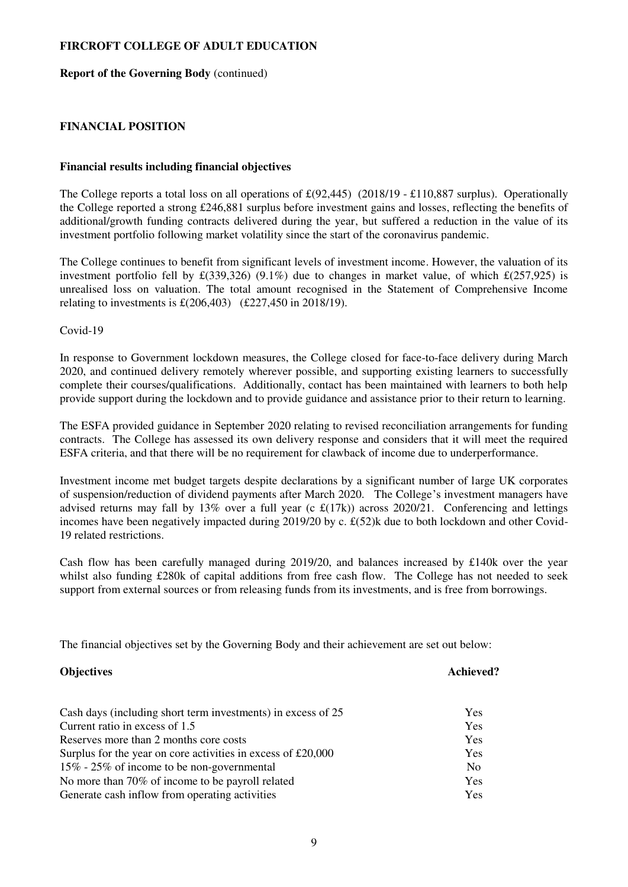## **Report of the Governing Body** (continued)

# **FINANCIAL POSITION**

### **Financial results including financial objectives**

The College reports a total loss on all operations of  $\text{\pounds}(92,445)$  (2018/19 -  $\text{\pounds}110,887$  surplus). Operationally the College reported a strong £246,881 surplus before investment gains and losses, reflecting the benefits of additional/growth funding contracts delivered during the year, but suffered a reduction in the value of its investment portfolio following market volatility since the start of the coronavirus pandemic.

The College continues to benefit from significant levels of investment income. However, the valuation of its investment portfolio fell by  $\pounds$ (339,326) (9.1%) due to changes in market value, of which  $\pounds$ (257,925) is unrealised loss on valuation. The total amount recognised in the Statement of Comprehensive Income relating to investments is  $\pounds(206,403)$  (£227,450 in 2018/19).

Covid-19

In response to Government lockdown measures, the College closed for face-to-face delivery during March 2020, and continued delivery remotely wherever possible, and supporting existing learners to successfully complete their courses/qualifications. Additionally, contact has been maintained with learners to both help provide support during the lockdown and to provide guidance and assistance prior to their return to learning.

The ESFA provided guidance in September 2020 relating to revised reconciliation arrangements for funding contracts. The College has assessed its own delivery response and considers that it will meet the required ESFA criteria, and that there will be no requirement for clawback of income due to underperformance.

Investment income met budget targets despite declarations by a significant number of large UK corporates of suspension/reduction of dividend payments after March 2020. The College's investment managers have advised returns may fall by 13% over a full year (c  $\mathcal{L}(17k)$ ) across 2020/21. Conferencing and lettings incomes have been negatively impacted during 2019/20 by c. £(52)k due to both lockdown and other Covid-19 related restrictions.

Cash flow has been carefully managed during 2019/20, and balances increased by £140k over the year whilst also funding £280k of capital additions from free cash flow. The College has not needed to seek support from external sources or from releasing funds from its investments, and is free from borrowings.

The financial objectives set by the Governing Body and their achievement are set out below:

# **Objectives** Achieved? Cash days (including short term investments) in excess of 25 Yes Current ratio in excess of 1.5 Yes Reserves more than 2 months core costs Yes Surplus for the year on core activities in excess of £20,000 Yes 15% - 25% of income to be non-governmental No No more than 70% of income to be payroll related Yes Generate cash inflow from operating activities Theorem 1988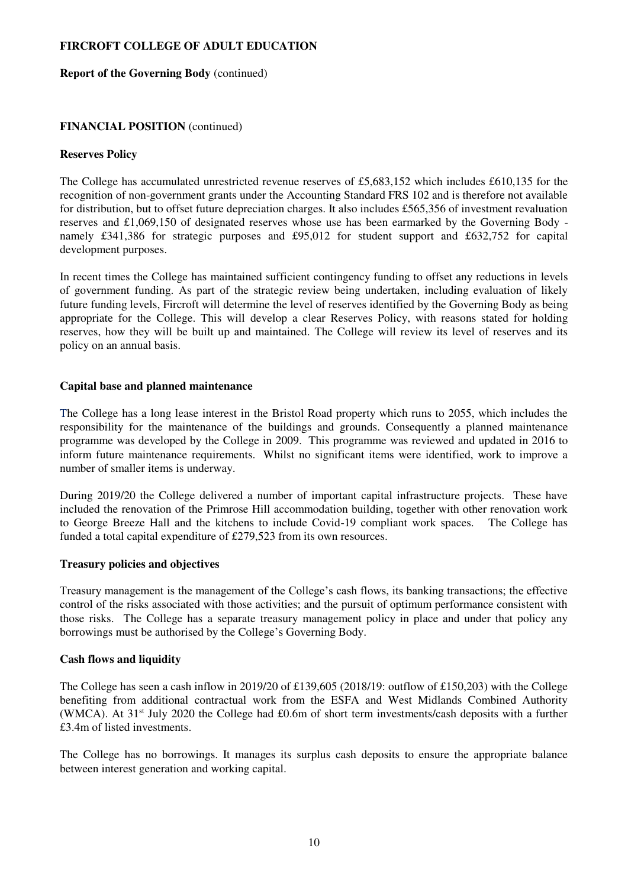#### **Report of the Governing Body** (continued)

## **FINANCIAL POSITION** (continued)

## **Reserves Policy**

The College has accumulated unrestricted revenue reserves of £5,683,152 which includes £610,135 for the recognition of non-government grants under the Accounting Standard FRS 102 and is therefore not available for distribution, but to offset future depreciation charges. It also includes £565,356 of investment revaluation reserves and £1,069,150 of designated reserves whose use has been earmarked by the Governing Body namely £341,386 for strategic purposes and £95,012 for student support and £632,752 for capital development purposes.

In recent times the College has maintained sufficient contingency funding to offset any reductions in levels of government funding. As part of the strategic review being undertaken, including evaluation of likely future funding levels, Fircroft will determine the level of reserves identified by the Governing Body as being appropriate for the College. This will develop a clear Reserves Policy, with reasons stated for holding reserves, how they will be built up and maintained. The College will review its level of reserves and its policy on an annual basis.

#### **Capital base and planned maintenance**

The College has a long lease interest in the Bristol Road property which runs to 2055, which includes the responsibility for the maintenance of the buildings and grounds. Consequently a planned maintenance programme was developed by the College in 2009. This programme was reviewed and updated in 2016 to inform future maintenance requirements. Whilst no significant items were identified, work to improve a number of smaller items is underway.

During 2019/20 the College delivered a number of important capital infrastructure projects. These have included the renovation of the Primrose Hill accommodation building, together with other renovation work to George Breeze Hall and the kitchens to include Covid-19 compliant work spaces. The College has funded a total capital expenditure of £279,523 from its own resources.

## **Treasury policies and objectives**

Treasury management is the management of the College's cash flows, its banking transactions; the effective control of the risks associated with those activities; and the pursuit of optimum performance consistent with those risks. The College has a separate treasury management policy in place and under that policy any borrowings must be authorised by the College's Governing Body.

## **Cash flows and liquidity**

The College has seen a cash inflow in 2019/20 of £139,605 (2018/19: outflow of £150,203) with the College benefiting from additional contractual work from the ESFA and West Midlands Combined Authority (WMCA). At 31st July 2020 the College had £0.6m of short term investments/cash deposits with a further £3.4m of listed investments.

The College has no borrowings. It manages its surplus cash deposits to ensure the appropriate balance between interest generation and working capital.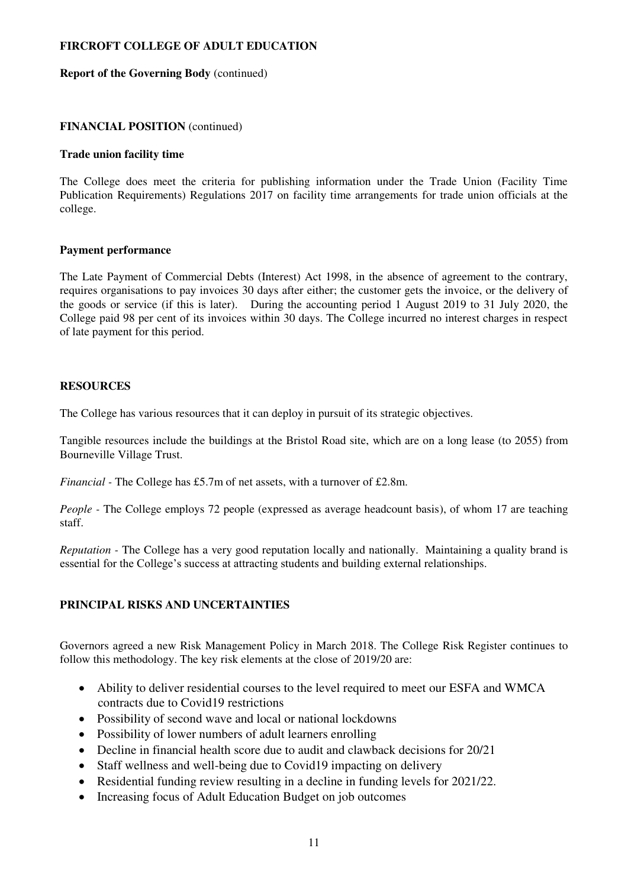### **Report of the Governing Body** (continued)

## **FINANCIAL POSITION** (continued)

#### **Trade union facility time**

The College does meet the criteria for publishing information under the Trade Union (Facility Time Publication Requirements) Regulations 2017 on facility time arrangements for trade union officials at the college.

## **Payment performance**

The Late Payment of Commercial Debts (Interest) Act 1998, in the absence of agreement to the contrary, requires organisations to pay invoices 30 days after either; the customer gets the invoice, or the delivery of the goods or service (if this is later). During the accounting period 1 August 2019 to 31 July 2020, the College paid 98 per cent of its invoices within 30 days. The College incurred no interest charges in respect of late payment for this period.

#### **RESOURCES**

The College has various resources that it can deploy in pursuit of its strategic objectives.

Tangible resources include the buildings at the Bristol Road site, which are on a long lease (to 2055) from Bourneville Village Trust.

*Financial* - The College has £5.7m of net assets, with a turnover of £2.8m.

*People* - The College employs 72 people (expressed as average headcount basis), of whom 17 are teaching staff.

*Reputation -* The College has a very good reputation locally and nationally. Maintaining a quality brand is essential for the College's success at attracting students and building external relationships.

# **PRINCIPAL RISKS AND UNCERTAINTIES**

Governors agreed a new Risk Management Policy in March 2018. The College Risk Register continues to follow this methodology. The key risk elements at the close of 2019/20 are:

- Ability to deliver residential courses to the level required to meet our ESFA and WMCA contracts due to Covid19 restrictions
- Possibility of second wave and local or national lockdowns
- Possibility of lower numbers of adult learners enrolling
- Decline in financial health score due to audit and clawback decisions for 20/21
- Staff wellness and well-being due to Covid19 impacting on delivery
- Residential funding review resulting in a decline in funding levels for 2021/22.
- Increasing focus of Adult Education Budget on job outcomes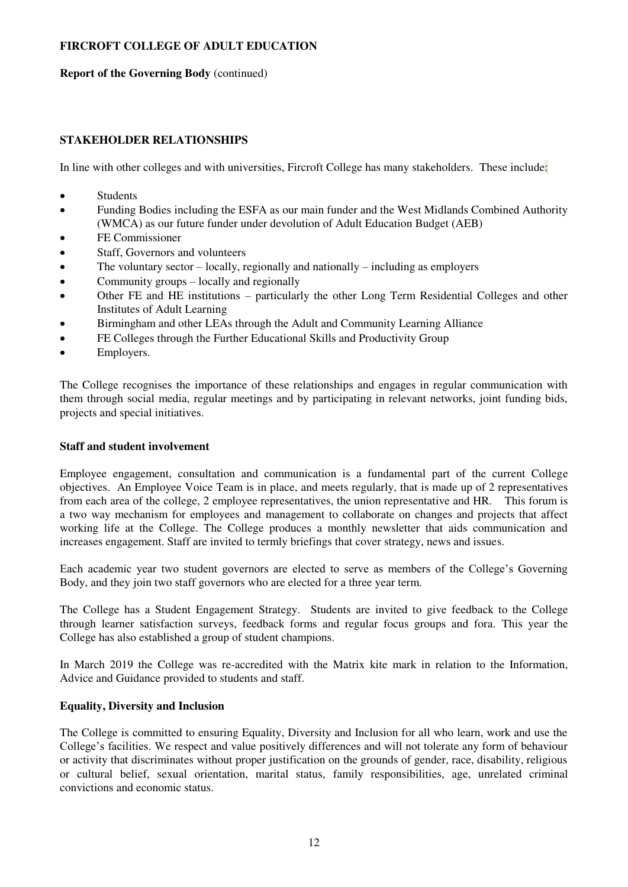#### **Report of the Governing Body** (continued)

## **STAKEHOLDER RELATIONSHIPS**

In line with other colleges and with universities, Fircroft College has many stakeholders. These include:

- Students
- Funding Bodies including the ESFA as our main funder and the West Midlands Combined Authority (WMCA) as our future funder under devolution of Adult Education Budget (AEB)
- FE Commissioner
- Staff, Governors and volunteers
- The voluntary sector locally, regionally and nationally including as employers
- Community groups locally and regionally
- Other FE and HE institutions particularly the other Long Term Residential Colleges and other Institutes of Adult Learning
- Birmingham and other LEAs through the Adult and Community Learning Alliance
- FE Colleges through the Further Educational Skills and Productivity Group
- Employers.

The College recognises the importance of these relationships and engages in regular communication with them through social media, regular meetings and by participating in relevant networks, joint funding bids, projects and special initiatives.

### **Staff and student involvement**

Employee engagement, consultation and communication is a fundamental part of the current College objectives. An Employee Voice Team is in place, and meets regularly, that is made up of 2 representatives from each area of the college, 2 employee representatives, the union representative and HR. This forum is a two way mechanism for employees and management to collaborate on changes and projects that affect working life at the College. The College produces a monthly newsletter that aids communication and increases engagement. Staff are invited to termly briefings that cover strategy, news and issues.

Each academic year two student governors are elected to serve as members of the College's Governing Body, and they join two staff governors who are elected for a three year term.

The College has a Student Engagement Strategy. Students are invited to give feedback to the College through learner satisfaction surveys, feedback forms and regular focus groups and fora. This year the College has also established a group of student champions.

In March 2019 the College was re-accredited with the Matrix kite mark in relation to the Information, Advice and Guidance provided to students and staff.

## **Equality, Diversity and Inclusion**

The College is committed to ensuring Equality, Diversity and Inclusion for all who learn, work and use the College's facilities. We respect and value positively differences and will not tolerate any form of behaviour or activity that discriminates without proper justification on the grounds of gender, race, disability, religious or cultural belief, sexual orientation, marital status, family responsibilities, age, unrelated criminal convictions and economic status.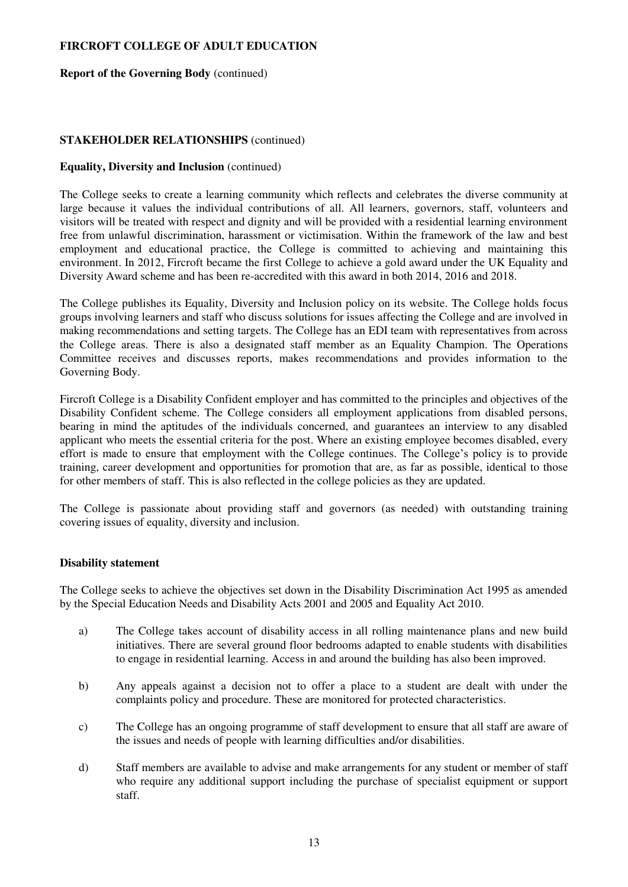#### **Report of the Governing Body** (continued)

### **STAKEHOLDER RELATIONSHIPS** (continued)

### **Equality, Diversity and Inclusion** (continued)

The College seeks to create a learning community which reflects and celebrates the diverse community at large because it values the individual contributions of all. All learners, governors, staff, volunteers and visitors will be treated with respect and dignity and will be provided with a residential learning environment free from unlawful discrimination, harassment or victimisation. Within the framework of the law and best employment and educational practice, the College is committed to achieving and maintaining this environment. In 2012, Fircroft became the first College to achieve a gold award under the UK Equality and Diversity Award scheme and has been re-accredited with this award in both 2014, 2016 and 2018.

The College publishes its Equality, Diversity and Inclusion policy on its website. The College holds focus groups involving learners and staff who discuss solutions for issues affecting the College and are involved in making recommendations and setting targets. The College has an EDI team with representatives from across the College areas. There is also a designated staff member as an Equality Champion. The Operations Committee receives and discusses reports, makes recommendations and provides information to the Governing Body.

Fircroft College is a Disability Confident employer and has committed to the principles and objectives of the Disability Confident scheme. The College considers all employment applications from disabled persons, bearing in mind the aptitudes of the individuals concerned, and guarantees an interview to any disabled applicant who meets the essential criteria for the post. Where an existing employee becomes disabled, every effort is made to ensure that employment with the College continues. The College's policy is to provide training, career development and opportunities for promotion that are, as far as possible, identical to those for other members of staff. This is also reflected in the college policies as they are updated.

The College is passionate about providing staff and governors (as needed) with outstanding training covering issues of equality, diversity and inclusion.

## **Disability statement**

The College seeks to achieve the objectives set down in the Disability Discrimination Act 1995 as amended by the Special Education Needs and Disability Acts 2001 and 2005 and Equality Act 2010.

- a) The College takes account of disability access in all rolling maintenance plans and new build initiatives. There are several ground floor bedrooms adapted to enable students with disabilities to engage in residential learning. Access in and around the building has also been improved.
- b) Any appeals against a decision not to offer a place to a student are dealt with under the complaints policy and procedure. These are monitored for protected characteristics.
- c) The College has an ongoing programme of staff development to ensure that all staff are aware of the issues and needs of people with learning difficulties and/or disabilities.
- d) Staff members are available to advise and make arrangements for any student or member of staff who require any additional support including the purchase of specialist equipment or support staff.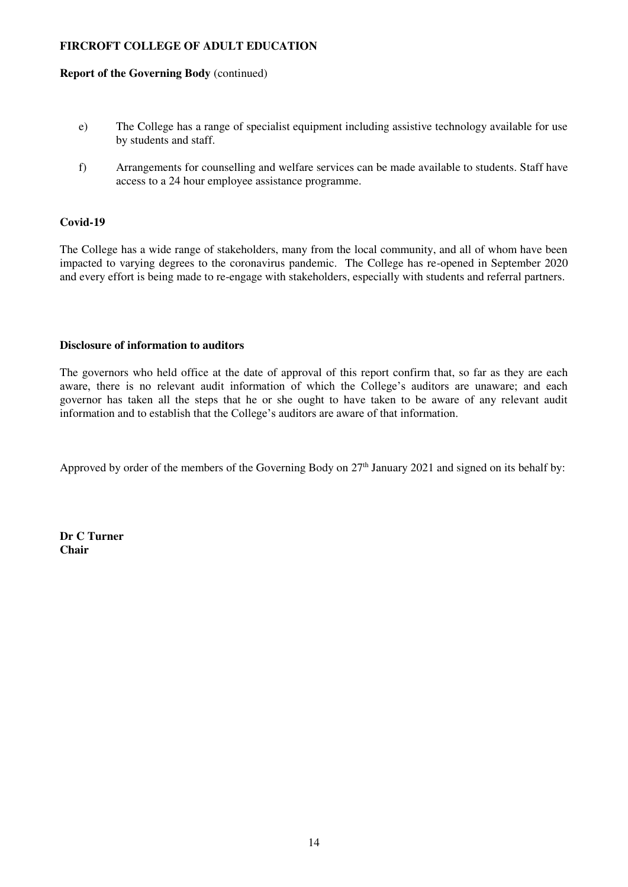#### **Report of the Governing Body** (continued)

- e) The College has a range of specialist equipment including assistive technology available for use by students and staff.
- f) Arrangements for counselling and welfare services can be made available to students. Staff have access to a 24 hour employee assistance programme.

## **Covid-19**

The College has a wide range of stakeholders, many from the local community, and all of whom have been impacted to varying degrees to the coronavirus pandemic. The College has re-opened in September 2020 and every effort is being made to re-engage with stakeholders, especially with students and referral partners.

## **Disclosure of information to auditors**

The governors who held office at the date of approval of this report confirm that, so far as they are each aware, there is no relevant audit information of which the College's auditors are unaware; and each governor has taken all the steps that he or she ought to have taken to be aware of any relevant audit information and to establish that the College's auditors are aware of that information.

Approved by order of the members of the Governing Body on 27<sup>th</sup> January 2021 and signed on its behalf by:

**Dr C Turner Chair**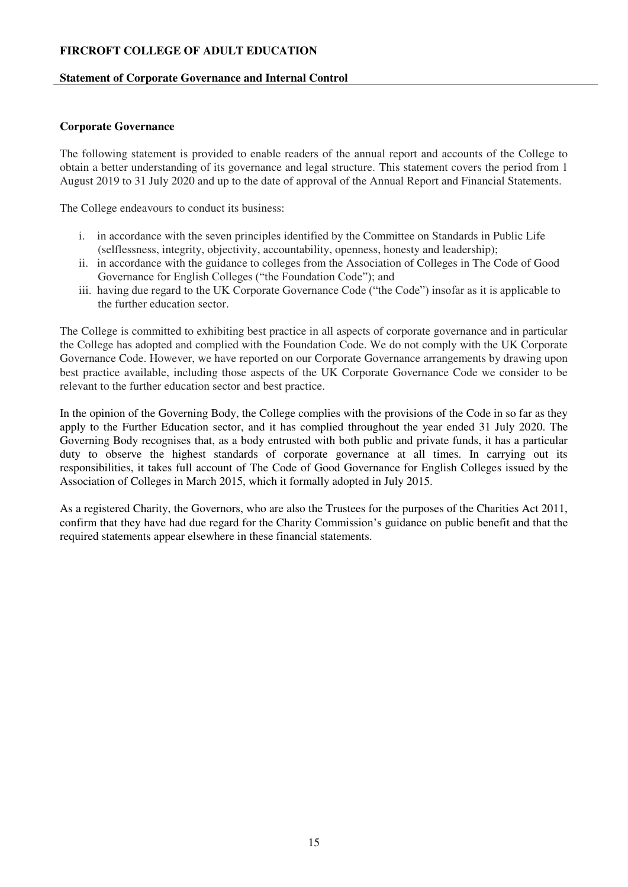## **Statement of Corporate Governance and Internal Control**

## <span id="page-14-0"></span>**Corporate Governance**

The following statement is provided to enable readers of the annual report and accounts of the College to obtain a better understanding of its governance and legal structure. This statement covers the period from 1 August 2019 to 31 July 2020 and up to the date of approval of the Annual Report and Financial Statements.

The College endeavours to conduct its business:

- i. in accordance with the seven principles identified by the Committee on Standards in Public Life (selflessness, integrity, objectivity, accountability, openness, honesty and leadership);
- ii. in accordance with the guidance to colleges from the Association of Colleges in The Code of Good Governance for English Colleges ("the Foundation Code"); and
- iii. having due regard to the UK Corporate Governance Code ("the Code") insofar as it is applicable to the further education sector.

The College is committed to exhibiting best practice in all aspects of corporate governance and in particular the College has adopted and complied with the Foundation Code. We do not comply with the UK Corporate Governance Code. However, we have reported on our Corporate Governance arrangements by drawing upon best practice available, including those aspects of the UK Corporate Governance Code we consider to be relevant to the further education sector and best practice.

In the opinion of the Governing Body, the College complies with the provisions of the Code in so far as they apply to the Further Education sector, and it has complied throughout the year ended 31 July 2020. The Governing Body recognises that, as a body entrusted with both public and private funds, it has a particular duty to observe the highest standards of corporate governance at all times. In carrying out its responsibilities, it takes full account of The Code of Good Governance for English Colleges issued by the Association of Colleges in March 2015, which it formally adopted in July 2015.

As a registered Charity, the Governors, who are also the Trustees for the purposes of the Charities Act 2011, confirm that they have had due regard for the Charity Commission's guidance on public benefit and that the required statements appear elsewhere in these financial statements.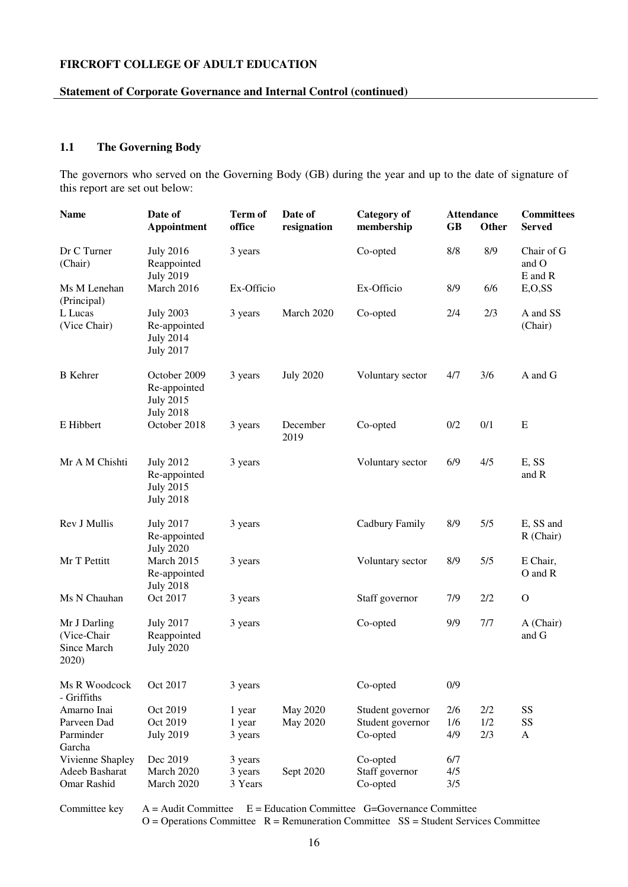#### **Statement of Corporate Governance and Internal Control (continued)**

# **1.1 The Governing Body**

The governors who served on the Governing Body (GB) during the year and up to the date of signature of this report are set out below:

| <b>Name</b>                                         | Date of<br><b>Appointment</b>                                            | <b>Term of</b><br>office | Date of<br>resignation | <b>Category</b> of<br>membership | <b>GB</b> | <b>Attendance</b><br>Other | <b>Committees</b><br><b>Served</b> |
|-----------------------------------------------------|--------------------------------------------------------------------------|--------------------------|------------------------|----------------------------------|-----------|----------------------------|------------------------------------|
| Dr C Turner<br>(Chair)                              | <b>July 2016</b><br>Reappointed<br><b>July 2019</b>                      | 3 years                  |                        | Co-opted                         | 8/8       | 8/9                        | Chair of G<br>and O<br>E and R     |
| Ms M Lenehan<br>(Principal)                         | March 2016                                                               | Ex-Officio               |                        | Ex-Officio                       | 8/9       | 6/6                        | E, O, SS                           |
| L Lucas<br>(Vice Chair)                             | <b>July 2003</b><br>Re-appointed<br><b>July 2014</b><br><b>July 2017</b> | 3 years                  | March 2020             | Co-opted                         | 2/4       | 2/3                        | A and SS<br>(Chair)                |
| <b>B</b> Kehrer                                     | October 2009<br>Re-appointed<br><b>July 2015</b><br><b>July 2018</b>     | 3 years                  | <b>July 2020</b>       | Voluntary sector                 | 4/7       | 3/6                        | A and G                            |
| E Hibbert                                           | October 2018                                                             | 3 years                  | December<br>2019       | Co-opted                         | 0/2       | 0/1                        | ${\bf E}$                          |
| Mr A M Chishti                                      | <b>July 2012</b><br>Re-appointed<br><b>July 2015</b><br><b>July 2018</b> | 3 years                  |                        | Voluntary sector                 | 6/9       | 4/5                        | E, SS<br>and R                     |
| Rev J Mullis                                        | <b>July 2017</b><br>Re-appointed<br><b>July 2020</b>                     | 3 years                  |                        | Cadbury Family                   | 8/9       | 5/5                        | E, SS and<br>R (Chair)             |
| Mr T Pettitt                                        | March 2015<br>Re-appointed<br><b>July 2018</b>                           | 3 years                  |                        | Voluntary sector                 | 8/9       | 5/5                        | E Chair,<br>O and R                |
| Ms N Chauhan                                        | Oct 2017                                                                 | 3 years                  |                        | Staff governor                   | 7/9       | 2/2                        | $\mathcal{O}$                      |
| Mr J Darling<br>(Vice-Chair<br>Since March<br>2020) | <b>July 2017</b><br>Reappointed<br><b>July 2020</b>                      | 3 years                  |                        | Co-opted                         | 9/9       | 7/7                        | A (Chair)<br>and G                 |
| Ms R Woodcock<br>- Griffiths                        | Oct 2017                                                                 | 3 years                  |                        | Co-opted                         | 0/9       |                            |                                    |
| Amarno Inai                                         | Oct 2019                                                                 | 1 year                   | May 2020               | Student governor                 | 2/6       | 2/2                        | SS                                 |
| Parveen Dad                                         | Oct 2019                                                                 | 1 year                   | May 2020               | Student governor                 | 1/6       | 1/2                        | SS                                 |
| Parminder<br>Garcha                                 | <b>July 2019</b>                                                         | 3 years                  |                        | Co-opted                         | 4/9       | 2/3                        | A                                  |
| Vivienne Shapley                                    | Dec 2019                                                                 | 3 years                  |                        | Co-opted                         | 6/7       |                            |                                    |
| Adeeb Basharat                                      | March 2020                                                               | 3 years                  | Sept 2020              | Staff governor                   | 4/5       |                            |                                    |
| Omar Rashid                                         | March 2020                                                               | 3 Years                  |                        | Co-opted                         | 3/5       |                            |                                    |

Committee key  $A =$  Audit Committee  $E =$  Education Committee G=Governance Committee

 $O =$  Operations Committee  $R =$  Remuneration Committee  $SS =$  Student Services Committee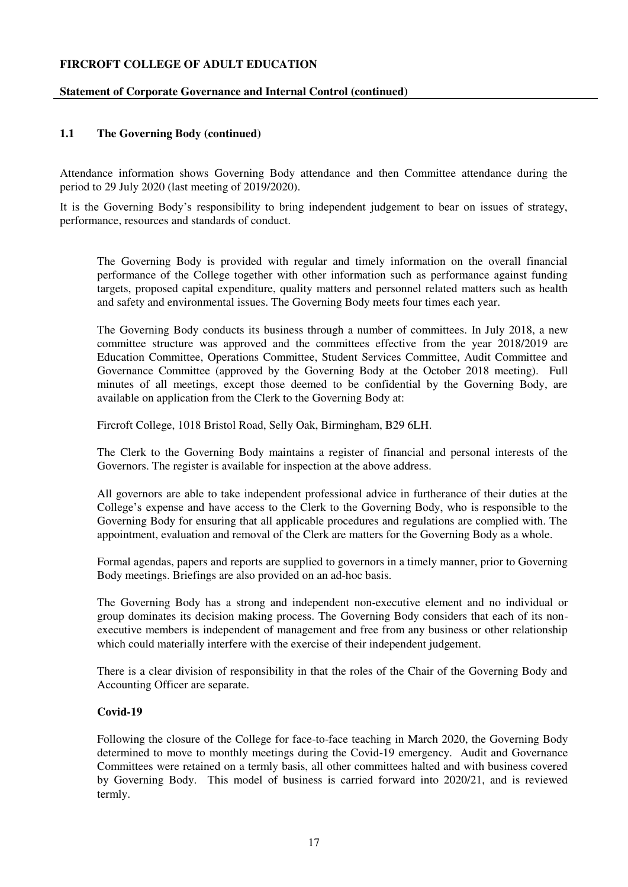## **Statement of Corporate Governance and Internal Control (continued)**

## **1.1 The Governing Body (continued)**

Attendance information shows Governing Body attendance and then Committee attendance during the period to 29 July 2020 (last meeting of 2019/2020).

It is the Governing Body's responsibility to bring independent judgement to bear on issues of strategy, performance, resources and standards of conduct.

The Governing Body is provided with regular and timely information on the overall financial performance of the College together with other information such as performance against funding targets, proposed capital expenditure, quality matters and personnel related matters such as health and safety and environmental issues. The Governing Body meets four times each year.

The Governing Body conducts its business through a number of committees. In July 2018, a new committee structure was approved and the committees effective from the year 2018/2019 are Education Committee, Operations Committee, Student Services Committee, Audit Committee and Governance Committee (approved by the Governing Body at the October 2018 meeting). Full minutes of all meetings, except those deemed to be confidential by the Governing Body, are available on application from the Clerk to the Governing Body at:

Fircroft College, 1018 Bristol Road, Selly Oak, Birmingham, B29 6LH.

The Clerk to the Governing Body maintains a register of financial and personal interests of the Governors. The register is available for inspection at the above address.

All governors are able to take independent professional advice in furtherance of their duties at the College's expense and have access to the Clerk to the Governing Body, who is responsible to the Governing Body for ensuring that all applicable procedures and regulations are complied with. The appointment, evaluation and removal of the Clerk are matters for the Governing Body as a whole.

Formal agendas, papers and reports are supplied to governors in a timely manner, prior to Governing Body meetings. Briefings are also provided on an ad-hoc basis.

The Governing Body has a strong and independent non-executive element and no individual or group dominates its decision making process. The Governing Body considers that each of its nonexecutive members is independent of management and free from any business or other relationship which could materially interfere with the exercise of their independent judgement.

There is a clear division of responsibility in that the roles of the Chair of the Governing Body and Accounting Officer are separate.

## **Covid-19**

Following the closure of the College for face-to-face teaching in March 2020, the Governing Body determined to move to monthly meetings during the Covid-19 emergency. Audit and Governance Committees were retained on a termly basis, all other committees halted and with business covered by Governing Body. This model of business is carried forward into 2020/21, and is reviewed termly.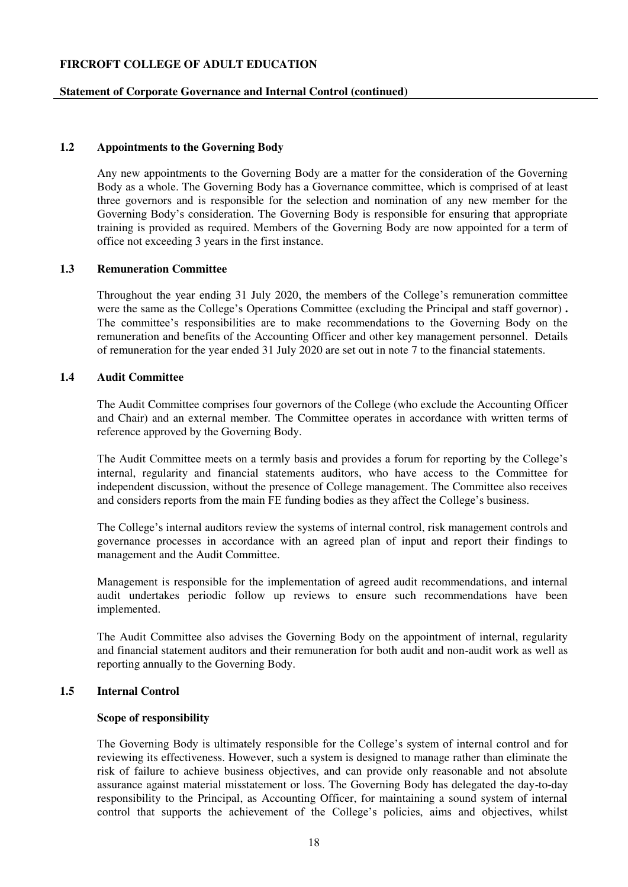#### **Statement of Corporate Governance and Internal Control (continued)**

# **1.2 Appointments to the Governing Body**

Any new appointments to the Governing Body are a matter for the consideration of the Governing Body as a whole. The Governing Body has a Governance committee, which is comprised of at least three governors and is responsible for the selection and nomination of any new member for the Governing Body's consideration. The Governing Body is responsible for ensuring that appropriate training is provided as required. Members of the Governing Body are now appointed for a term of office not exceeding 3 years in the first instance.

#### **1.3 Remuneration Committee**

Throughout the year ending 31 July 2020, the members of the College's remuneration committee were the same as the College's Operations Committee (excluding the Principal and staff governor) **.**  The committee's responsibilities are to make recommendations to the Governing Body on the remuneration and benefits of the Accounting Officer and other key management personnel. Details of remuneration for the year ended 31 July 2020 are set out in note 7 to the financial statements.

#### **1.4 Audit Committee**

The Audit Committee comprises four governors of the College (who exclude the Accounting Officer and Chair) and an external member*.* The Committee operates in accordance with written terms of reference approved by the Governing Body.

The Audit Committee meets on a termly basis and provides a forum for reporting by the College's internal, regularity and financial statements auditors, who have access to the Committee for independent discussion, without the presence of College management. The Committee also receives and considers reports from the main FE funding bodies as they affect the College's business.

The College's internal auditors review the systems of internal control, risk management controls and governance processes in accordance with an agreed plan of input and report their findings to management and the Audit Committee.

Management is responsible for the implementation of agreed audit recommendations, and internal audit undertakes periodic follow up reviews to ensure such recommendations have been implemented.

The Audit Committee also advises the Governing Body on the appointment of internal, regularity and financial statement auditors and their remuneration for both audit and non-audit work as well as reporting annually to the Governing Body.

# **1.5 Internal Control**

#### **Scope of responsibility**

The Governing Body is ultimately responsible for the College's system of internal control and for reviewing its effectiveness. However, such a system is designed to manage rather than eliminate the risk of failure to achieve business objectives, and can provide only reasonable and not absolute assurance against material misstatement or loss. The Governing Body has delegated the day-to-day responsibility to the Principal, as Accounting Officer, for maintaining a sound system of internal control that supports the achievement of the College's policies, aims and objectives, whilst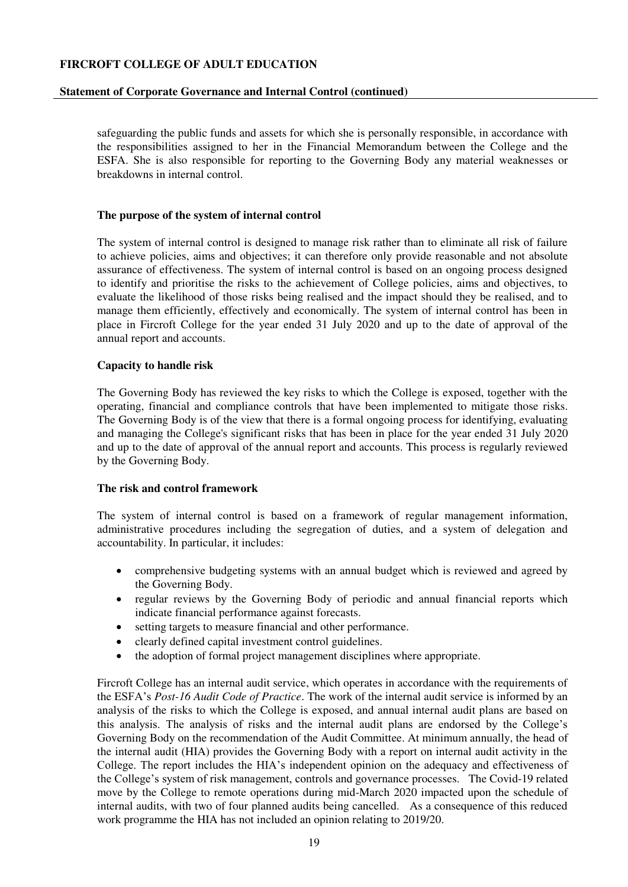#### **Statement of Corporate Governance and Internal Control (continued)**

safeguarding the public funds and assets for which she is personally responsible, in accordance with the responsibilities assigned to her in the Financial Memorandum between the College and the ESFA. She is also responsible for reporting to the Governing Body any material weaknesses or breakdowns in internal control.

#### **The purpose of the system of internal control**

The system of internal control is designed to manage risk rather than to eliminate all risk of failure to achieve policies, aims and objectives; it can therefore only provide reasonable and not absolute assurance of effectiveness. The system of internal control is based on an ongoing process designed to identify and prioritise the risks to the achievement of College policies, aims and objectives, to evaluate the likelihood of those risks being realised and the impact should they be realised, and to manage them efficiently, effectively and economically. The system of internal control has been in place in Fircroft College for the year ended 31 July 2020 and up to the date of approval of the annual report and accounts.

#### **Capacity to handle risk**

The Governing Body has reviewed the key risks to which the College is exposed, together with the operating, financial and compliance controls that have been implemented to mitigate those risks. The Governing Body is of the view that there is a formal ongoing process for identifying, evaluating and managing the College's significant risks that has been in place for the year ended 31 July 2020 and up to the date of approval of the annual report and accounts. This process is regularly reviewed by the Governing Body.

#### **The risk and control framework**

The system of internal control is based on a framework of regular management information, administrative procedures including the segregation of duties, and a system of delegation and accountability. In particular, it includes:

- comprehensive budgeting systems with an annual budget which is reviewed and agreed by the Governing Body.
- regular reviews by the Governing Body of periodic and annual financial reports which indicate financial performance against forecasts.
- setting targets to measure financial and other performance.
- clearly defined capital investment control guidelines.
- the adoption of formal project management disciplines where appropriate.

Fircroft College has an internal audit service, which operates in accordance with the requirements of the ESFA's *Post-16 Audit Code of Practice*. The work of the internal audit service is informed by an analysis of the risks to which the College is exposed, and annual internal audit plans are based on this analysis. The analysis of risks and the internal audit plans are endorsed by the College's Governing Body on the recommendation of the Audit Committee. At minimum annually, the head of the internal audit (HIA) provides the Governing Body with a report on internal audit activity in the College. The report includes the HIA's independent opinion on the adequacy and effectiveness of the College's system of risk management, controls and governance processes. The Covid-19 related move by the College to remote operations during mid-March 2020 impacted upon the schedule of internal audits, with two of four planned audits being cancelled. As a consequence of this reduced work programme the HIA has not included an opinion relating to 2019/20.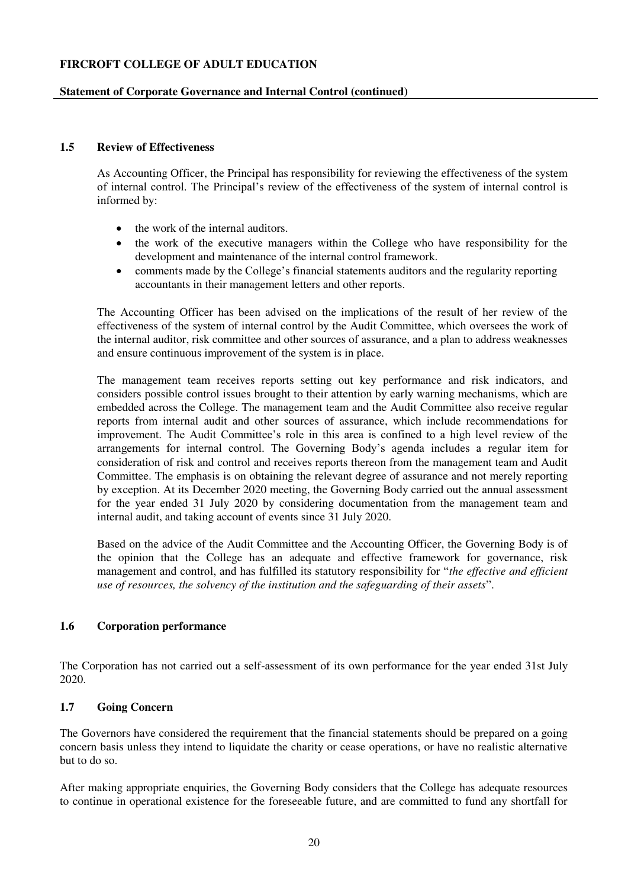## **Statement of Corporate Governance and Internal Control (continued)**

# **1.5 Review of Effectiveness**

As Accounting Officer, the Principal has responsibility for reviewing the effectiveness of the system of internal control. The Principal's review of the effectiveness of the system of internal control is informed by:

- the work of the internal auditors.
- the work of the executive managers within the College who have responsibility for the development and maintenance of the internal control framework.
- comments made by the College's financial statements auditors and the regularity reporting accountants in their management letters and other reports.

The Accounting Officer has been advised on the implications of the result of her review of the effectiveness of the system of internal control by the Audit Committee, which oversees the work of the internal auditor, risk committee and other sources of assurance, and a plan to address weaknesses and ensure continuous improvement of the system is in place.

The management team receives reports setting out key performance and risk indicators, and considers possible control issues brought to their attention by early warning mechanisms, which are embedded across the College. The management team and the Audit Committee also receive regular reports from internal audit and other sources of assurance, which include recommendations for improvement. The Audit Committee's role in this area is confined to a high level review of the arrangements for internal control. The Governing Body's agenda includes a regular item for consideration of risk and control and receives reports thereon from the management team and Audit Committee. The emphasis is on obtaining the relevant degree of assurance and not merely reporting by exception. At its December 2020 meeting, the Governing Body carried out the annual assessment for the year ended 31 July 2020 by considering documentation from the management team and internal audit, and taking account of events since 31 July 2020.

Based on the advice of the Audit Committee and the Accounting Officer, the Governing Body is of the opinion that the College has an adequate and effective framework for governance, risk management and control, and has fulfilled its statutory responsibility for "*the effective and efficient use of resources, the solvency of the institution and the safeguarding of their assets*".

## **1.6 Corporation performance**

The Corporation has not carried out a self-assessment of its own performance for the year ended 31st July 2020.

## **1.7 Going Concern**

The Governors have considered the requirement that the financial statements should be prepared on a going concern basis unless they intend to liquidate the charity or cease operations, or have no realistic alternative but to do so.

After making appropriate enquiries, the Governing Body considers that the College has adequate resources to continue in operational existence for the foreseeable future, and are committed to fund any shortfall for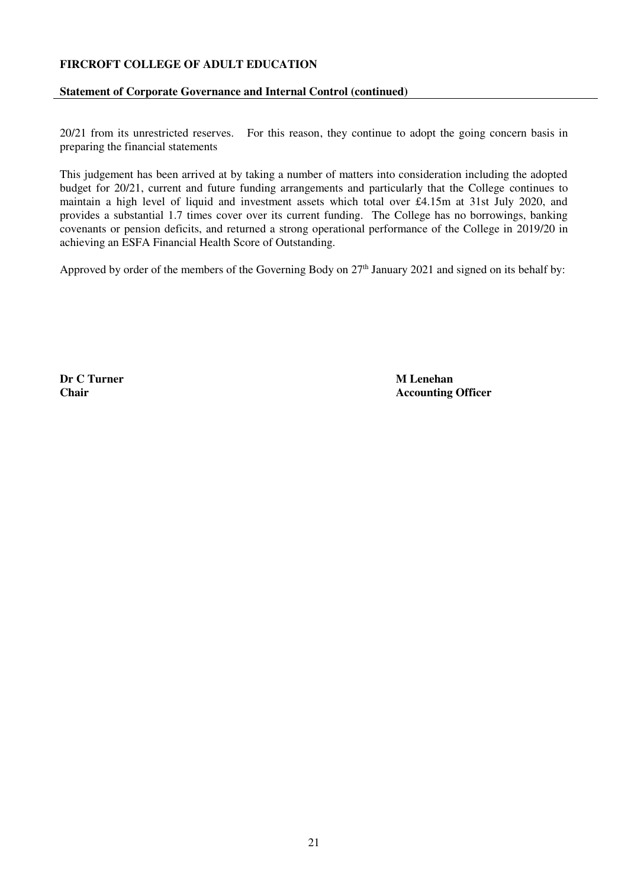## **Statement of Corporate Governance and Internal Control (continued)**

20/21 from its unrestricted reserves. For this reason, they continue to adopt the going concern basis in preparing the financial statements

This judgement has been arrived at by taking a number of matters into consideration including the adopted budget for 20/21, current and future funding arrangements and particularly that the College continues to maintain a high level of liquid and investment assets which total over £4.15m at 31st July 2020, and provides a substantial 1.7 times cover over its current funding. The College has no borrowings, banking covenants or pension deficits, and returned a strong operational performance of the College in 2019/20 in achieving an ESFA Financial Health Score of Outstanding.

Approved by order of the members of the Governing Body on 27<sup>th</sup> January 2021 and signed on its behalf by:

**Dr C Turner M Lenehan**<br> **Chair M Lenehan** 

**Accounting Officer**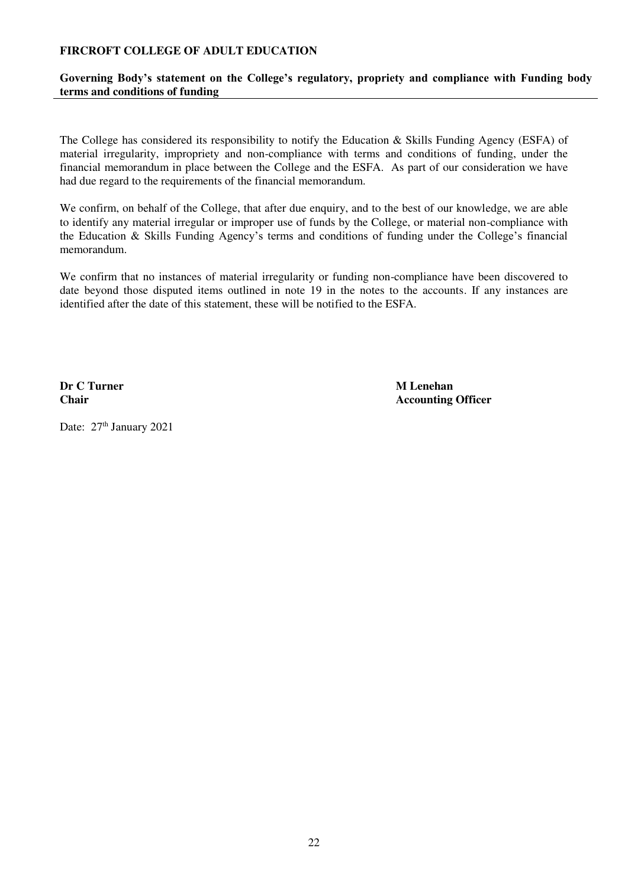# **Governing Body's statement on the College's regulatory, propriety and compliance with Funding body terms and conditions of funding**

<span id="page-21-0"></span>The College has considered its responsibility to notify the Education & Skills Funding Agency (ESFA) of material irregularity, impropriety and non-compliance with terms and conditions of funding, under the financial memorandum in place between the College and the ESFA. As part of our consideration we have had due regard to the requirements of the financial memorandum.

We confirm, on behalf of the College, that after due enquiry, and to the best of our knowledge, we are able to identify any material irregular or improper use of funds by the College, or material non-compliance with the Education & Skills Funding Agency's terms and conditions of funding under the College's financial memorandum.

We confirm that no instances of material irregularity or funding non-compliance have been discovered to date beyond those disputed items outlined in note 19 in the notes to the accounts. If any instances are identified after the date of this statement, these will be notified to the ESFA.

**Dr C Turner M Lenehan** 

**Chair Chair Chair Accounting Officer** *Accounting Officer* 

Date: 27<sup>th</sup> January 2021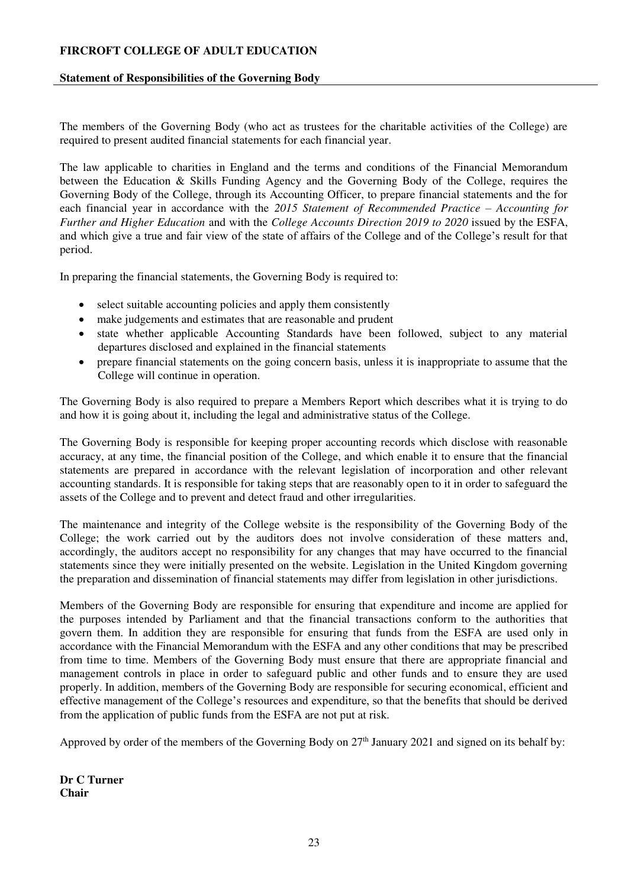### **Statement of Responsibilities of the Governing Body**

<span id="page-22-0"></span>The members of the Governing Body (who act as trustees for the charitable activities of the College) are required to present audited financial statements for each financial year.

The law applicable to charities in England and the terms and conditions of the Financial Memorandum between the Education & Skills Funding Agency and the Governing Body of the College, requires the Governing Body of the College, through its Accounting Officer, to prepare financial statements and the for each financial year in accordance with the *2015 Statement of Recommended Practice – Accounting for Further and Higher Education* and with the *College Accounts Direction 2019 to 2020* issued by the ESFA, and which give a true and fair view of the state of affairs of the College and of the College's result for that period.

In preparing the financial statements, the Governing Body is required to:

- select suitable accounting policies and apply them consistently
- make judgements and estimates that are reasonable and prudent
- state whether applicable Accounting Standards have been followed, subject to any material departures disclosed and explained in the financial statements
- prepare financial statements on the going concern basis, unless it is inappropriate to assume that the College will continue in operation.

The Governing Body is also required to prepare a Members Report which describes what it is trying to do and how it is going about it, including the legal and administrative status of the College.

The Governing Body is responsible for keeping proper accounting records which disclose with reasonable accuracy, at any time, the financial position of the College, and which enable it to ensure that the financial statements are prepared in accordance with the relevant legislation of incorporation and other relevant accounting standards. It is responsible for taking steps that are reasonably open to it in order to safeguard the assets of the College and to prevent and detect fraud and other irregularities.

The maintenance and integrity of the College website is the responsibility of the Governing Body of the College; the work carried out by the auditors does not involve consideration of these matters and, accordingly, the auditors accept no responsibility for any changes that may have occurred to the financial statements since they were initially presented on the website. Legislation in the United Kingdom governing the preparation and dissemination of financial statements may differ from legislation in other jurisdictions.

Members of the Governing Body are responsible for ensuring that expenditure and income are applied for the purposes intended by Parliament and that the financial transactions conform to the authorities that govern them. In addition they are responsible for ensuring that funds from the ESFA are used only in accordance with the Financial Memorandum with the ESFA and any other conditions that may be prescribed from time to time. Members of the Governing Body must ensure that there are appropriate financial and management controls in place in order to safeguard public and other funds and to ensure they are used properly. In addition, members of the Governing Body are responsible for securing economical, efficient and effective management of the College's resources and expenditure, so that the benefits that should be derived from the application of public funds from the ESFA are not put at risk.

Approved by order of the members of the Governing Body on 27<sup>th</sup> January 2021 and signed on its behalf by:

**Dr C Turner Chair**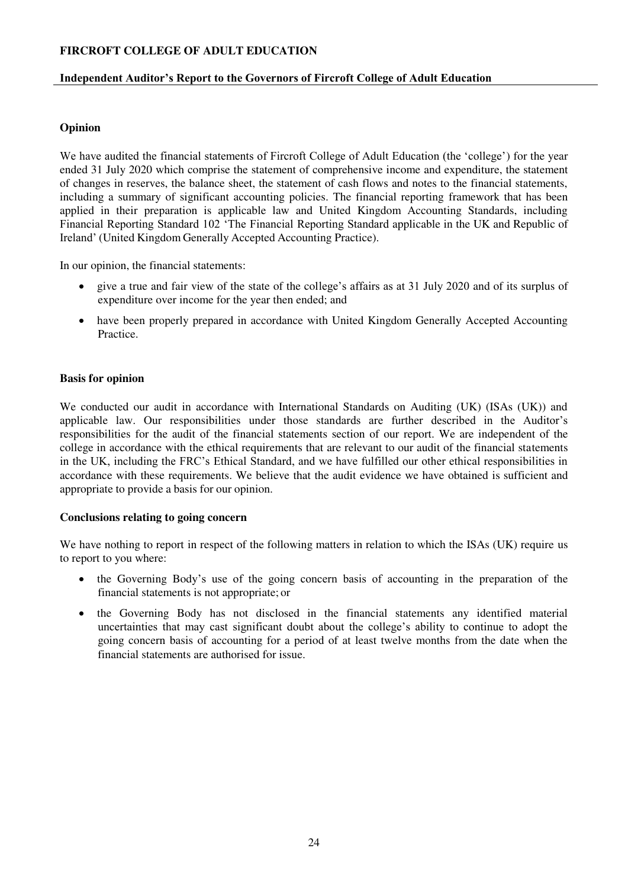## **Independent Auditor's Report to the Governors of Fircroft College of Adult Education**

## **Opinion**

<span id="page-23-0"></span>We have audited the financial statements of Fircroft College of Adult Education (the 'college') for the year ended 31 July 2020 which comprise the statement of comprehensive income and expenditure, the statement of changes in reserves, the balance sheet, the statement of cash flows and notes to the financial statements, including a summary of significant accounting policies. The financial reporting framework that has been applied in their preparation is applicable law and United Kingdom Accounting Standards, including Financial Reporting Standard 102 'The Financial Reporting Standard applicable in the UK and Republic of Ireland' (United Kingdom Generally Accepted Accounting Practice).

In our opinion, the financial statements:

- give a true and fair view of the state of the college's affairs as at 31 July 2020 and of its surplus of expenditure over income for the year then ended; and
- have been properly prepared in accordance with United Kingdom Generally Accepted Accounting Practice.

## **Basis for opinion**

We conducted our audit in accordance with International Standards on Auditing (UK) (ISAs (UK)) and applicable law. Our responsibilities under those standards are further described in the Auditor's responsibilities for the audit of the financial statements section of our report. We are independent of the college in accordance with the ethical requirements that are relevant to our audit of the financial statements in the UK, including the FRC's Ethical Standard, and we have fulfilled our other ethical responsibilities in accordance with these requirements. We believe that the audit evidence we have obtained is sufficient and appropriate to provide a basis for our opinion.

## **Conclusions relating to going concern**

We have nothing to report in respect of the following matters in relation to which the ISAs (UK) require us to report to you where:

- the Governing Body's use of the going concern basis of accounting in the preparation of the financial statements is not appropriate; or
- the Governing Body has not disclosed in the financial statements any identified material uncertainties that may cast significant doubt about the college's ability to continue to adopt the going concern basis of accounting for a period of at least twelve months from the date when the financial statements are authorised for issue.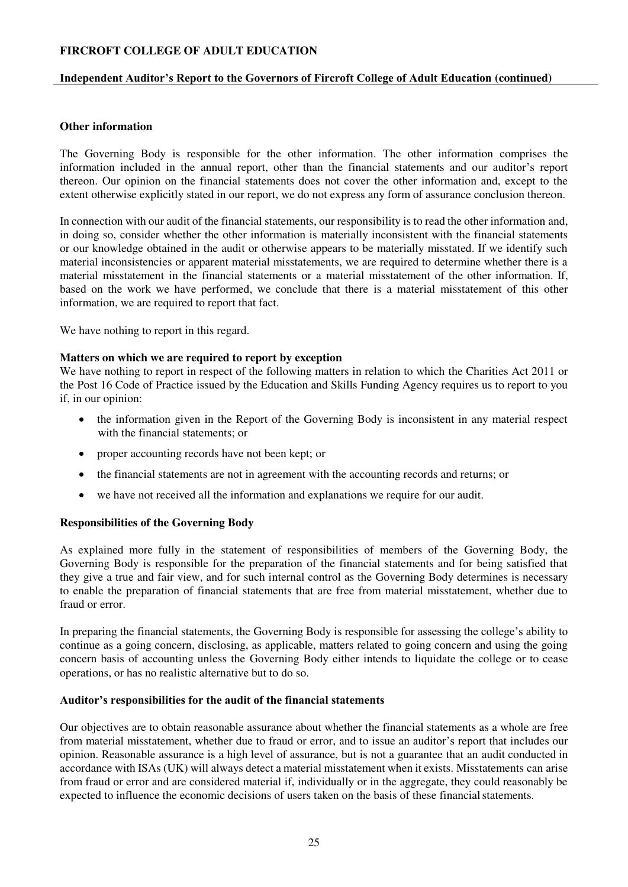## **Independent Auditor's Report to the Governors of Fircroft College of Adult Education (continued)**

### **Other information**

The Governing Body is responsible for the other information. The other information comprises the information included in the annual report, other than the financial statements and our auditor's report thereon. Our opinion on the financial statements does not cover the other information and, except to the extent otherwise explicitly stated in our report, we do not express any form of assurance conclusion thereon.

In connection with our audit of the financial statements, our responsibility is to read the other information and, in doing so, consider whether the other information is materially inconsistent with the financial statements or our knowledge obtained in the audit or otherwise appears to be materially misstated. If we identify such material inconsistencies or apparent material misstatements, we are required to determine whether there is a material misstatement in the financial statements or a material misstatement of the other information. If, based on the work we have performed, we conclude that there is a material misstatement of this other information, we are required to report that fact.

We have nothing to report in this regard.

#### **Matters on which we are required to report by exception**

We have nothing to report in respect of the following matters in relation to which the Charities Act 2011 or the Post 16 Code of Practice issued by the Education and Skills Funding Agency requires us to report to you if, in our opinion:

- the information given in the Report of the Governing Body is inconsistent in any material respect with the financial statements; or
- proper accounting records have not been kept; or
- the financial statements are not in agreement with the accounting records and returns; or
- we have not received all the information and explanations we require for our audit.

## **Responsibilities of the Governing Body**

As explained more fully in the statement of responsibilities of members of the Governing Body, the Governing Body is responsible for the preparation of the financial statements and for being satisfied that they give a true and fair view, and for such internal control as the Governing Body determines is necessary to enable the preparation of financial statements that are free from material misstatement, whether due to fraud or error.

In preparing the financial statements, the Governing Body is responsible for assessing the college's ability to continue as a going concern, disclosing, as applicable, matters related to going concern and using the going concern basis of accounting unless the Governing Body either intends to liquidate the college or to cease operations, or has no realistic alternative but to do so.

#### **Auditor's responsibilities for the audit of the financial statements**

Our objectives are to obtain reasonable assurance about whether the financial statements as a whole are free from material misstatement, whether due to fraud or error, and to issue an auditor's report that includes our opinion. Reasonable assurance is a high level of assurance, but is not a guarantee that an audit conducted in accordance with ISAs (UK) will always detect a material misstatement when it exists. Misstatements can arise from fraud or error and are considered material if, individually or in the aggregate, they could reasonably be expected to influence the economic decisions of users taken on the basis of these financial statements.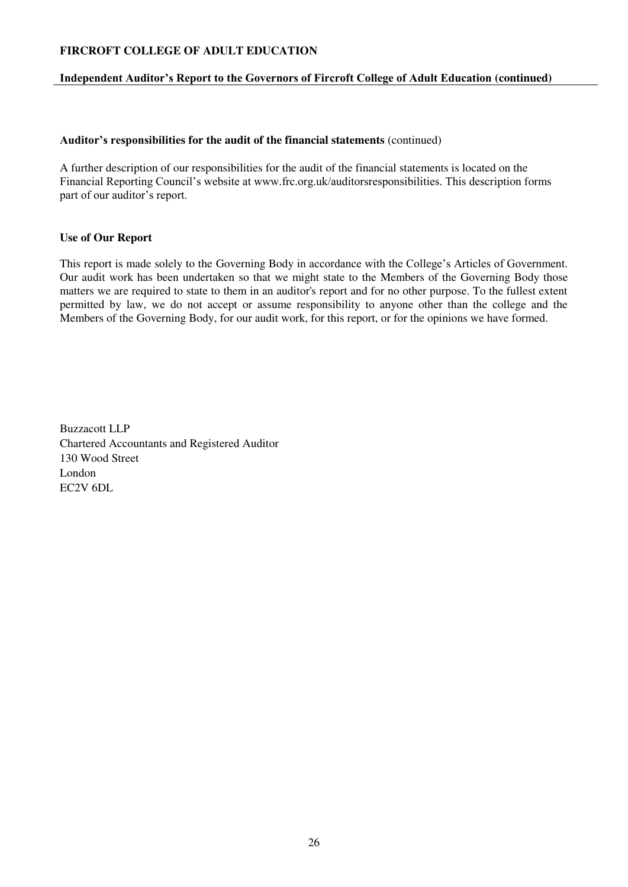## **Independent Auditor's Report to the Governors of Fircroft College of Adult Education (continued)**

#### **Auditor's responsibilities for the audit of the financial statements** (continued)

A further description of our responsibilities for the audit of the financial statements is located on the Financial Reporting Council's website at www.frc.org.uk/auditorsresponsibilities. This description forms part of our auditor's report.

#### **Use of Our Report**

This report is made solely to the Governing Body in accordance with the College's Articles of Government. Our audit work has been undertaken so that we might state to the Members of the Governing Body those matters we are required to state to them in an auditor's report and for no other purpose. To the fullest extent permitted by law, we do not accept or assume responsibility to anyone other than the college and the Members of the Governing Body, for our audit work, for this report, or for the opinions we have formed.

Buzzacott LLP Chartered Accountants and Registered Auditor 130 Wood Street London EC2V 6DL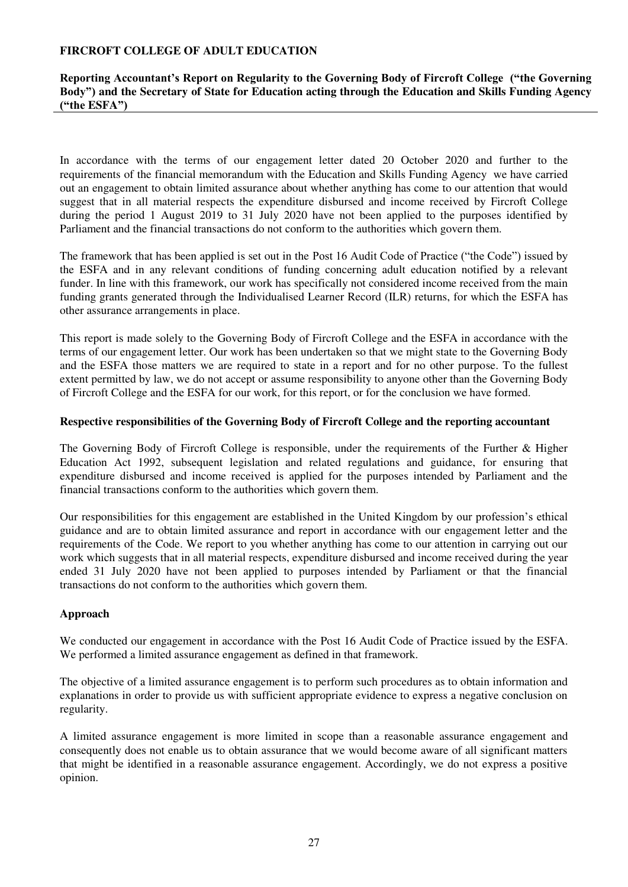## **Reporting Accountant's Report on Regularity to the Governing Body of Fircroft College ("the Governing Body") and the Secretary of State for Education acting through the Education and Skills Funding Agency ("the ESFA")**

<span id="page-26-0"></span>In accordance with the terms of our engagement letter dated 20 October 2020 and further to the requirements of the financial memorandum with the Education and Skills Funding Agency we have carried out an engagement to obtain limited assurance about whether anything has come to our attention that would suggest that in all material respects the expenditure disbursed and income received by Fircroft College during the period 1 August 2019 to 31 July 2020 have not been applied to the purposes identified by Parliament and the financial transactions do not conform to the authorities which govern them.

The framework that has been applied is set out in the Post 16 Audit Code of Practice ("the Code") issued by the ESFA and in any relevant conditions of funding concerning adult education notified by a relevant funder. In line with this framework, our work has specifically not considered income received from the main funding grants generated through the Individualised Learner Record (ILR) returns, for which the ESFA has other assurance arrangements in place.

This report is made solely to the Governing Body of Fircroft College and the ESFA in accordance with the terms of our engagement letter. Our work has been undertaken so that we might state to the Governing Body and the ESFA those matters we are required to state in a report and for no other purpose. To the fullest extent permitted by law, we do not accept or assume responsibility to anyone other than the Governing Body of Fircroft College and the ESFA for our work, for this report, or for the conclusion we have formed.

## **Respective responsibilities of the Governing Body of Fircroft College and the reporting accountant**

The Governing Body of Fircroft College is responsible, under the requirements of the Further & Higher Education Act 1992, subsequent legislation and related regulations and guidance, for ensuring that expenditure disbursed and income received is applied for the purposes intended by Parliament and the financial transactions conform to the authorities which govern them.

Our responsibilities for this engagement are established in the United Kingdom by our profession's ethical guidance and are to obtain limited assurance and report in accordance with our engagement letter and the requirements of the Code. We report to you whether anything has come to our attention in carrying out our work which suggests that in all material respects, expenditure disbursed and income received during the year ended 31 July 2020 have not been applied to purposes intended by Parliament or that the financial transactions do not conform to the authorities which govern them.

## **Approach**

We conducted our engagement in accordance with the Post 16 Audit Code of Practice issued by the ESFA. We performed a limited assurance engagement as defined in that framework.

The objective of a limited assurance engagement is to perform such procedures as to obtain information and explanations in order to provide us with sufficient appropriate evidence to express a negative conclusion on regularity.

A limited assurance engagement is more limited in scope than a reasonable assurance engagement and consequently does not enable us to obtain assurance that we would become aware of all significant matters that might be identified in a reasonable assurance engagement. Accordingly, we do not express a positive opinion.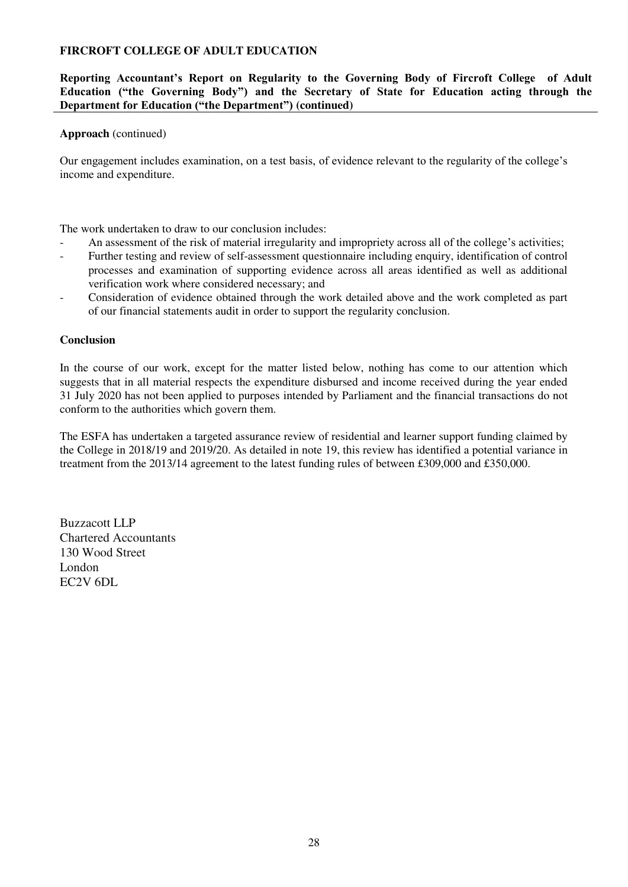## **Reporting Accountant's Report on Regularity to the Governing Body of Fircroft College of Adult Education ("the Governing Body") and the Secretary of State for Education acting through the Department for Education ("the Department") (continued)**

### **Approach** (continued)

Our engagement includes examination, on a test basis, of evidence relevant to the regularity of the college's income and expenditure.

The work undertaken to draw to our conclusion includes:

- An assessment of the risk of material irregularity and impropriety across all of the college's activities;
- Further testing and review of self-assessment questionnaire including enquiry, identification of control processes and examination of supporting evidence across all areas identified as well as additional verification work where considered necessary; and
- Consideration of evidence obtained through the work detailed above and the work completed as part of our financial statements audit in order to support the regularity conclusion.

#### **Conclusion**

In the course of our work, except for the matter listed below, nothing has come to our attention which suggests that in all material respects the expenditure disbursed and income received during the year ended 31 July 2020 has not been applied to purposes intended by Parliament and the financial transactions do not conform to the authorities which govern them.

The ESFA has undertaken a targeted assurance review of residential and learner support funding claimed by the College in 2018/19 and 2019/20. As detailed in note 19, this review has identified a potential variance in treatment from the 2013/14 agreement to the latest funding rules of between £309,000 and £350,000.

Buzzacott LLP Chartered Accountants 130 Wood Street London EC2V 6DL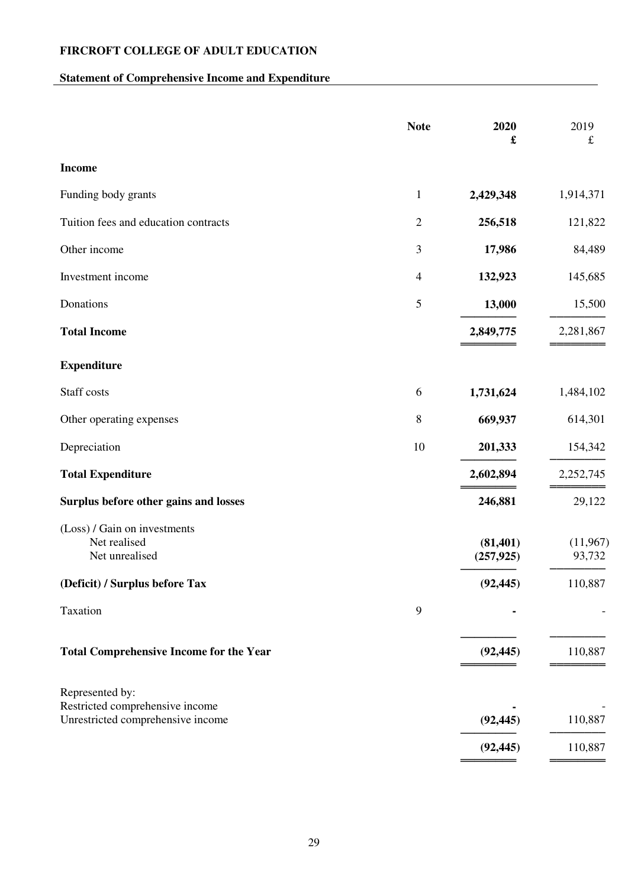# **Statement of Comprehensive Income and Expenditure**

<span id="page-28-1"></span><span id="page-28-0"></span>

|                                                                                         | <b>Note</b>    | 2020<br>£               | 2019<br>$\pounds$  |
|-----------------------------------------------------------------------------------------|----------------|-------------------------|--------------------|
| <b>Income</b>                                                                           |                |                         |                    |
| Funding body grants                                                                     | $\mathbf{1}$   | 2,429,348               | 1,914,371          |
| Tuition fees and education contracts                                                    | $\sqrt{2}$     | 256,518                 | 121,822            |
| Other income                                                                            | $\mathfrak{Z}$ | 17,986                  | 84,489             |
| Investment income                                                                       | $\overline{4}$ | 132,923                 | 145,685            |
| Donations                                                                               | $\mathfrak{S}$ | 13,000                  | 15,500             |
| <b>Total Income</b>                                                                     |                | 2,849,775               | 2,281,867          |
| <b>Expenditure</b>                                                                      |                |                         |                    |
| Staff costs                                                                             | 6              | 1,731,624               | 1,484,102          |
| Other operating expenses                                                                | $\, 8$         | 669,937                 | 614,301            |
| Depreciation                                                                            | 10             | 201,333                 | 154,342            |
| <b>Total Expenditure</b>                                                                |                | 2,602,894               | 2,252,745          |
| Surplus before other gains and losses                                                   |                | 246,881                 | 29,122             |
| (Loss) / Gain on investments<br>Net realised<br>Net unrealised                          |                | (81, 401)<br>(257, 925) | (11,967)<br>93,732 |
| (Deficit) / Surplus before Tax                                                          |                | (92, 445)               | 110,887            |
| Taxation                                                                                | 9              |                         |                    |
| <b>Total Comprehensive Income for the Year</b>                                          |                | (92, 445)               | 110,887            |
| Represented by:<br>Restricted comprehensive income<br>Unrestricted comprehensive income |                | (92, 445)               | 110,887            |
|                                                                                         |                | (92, 445)               | 110,887            |

**════════ ════════**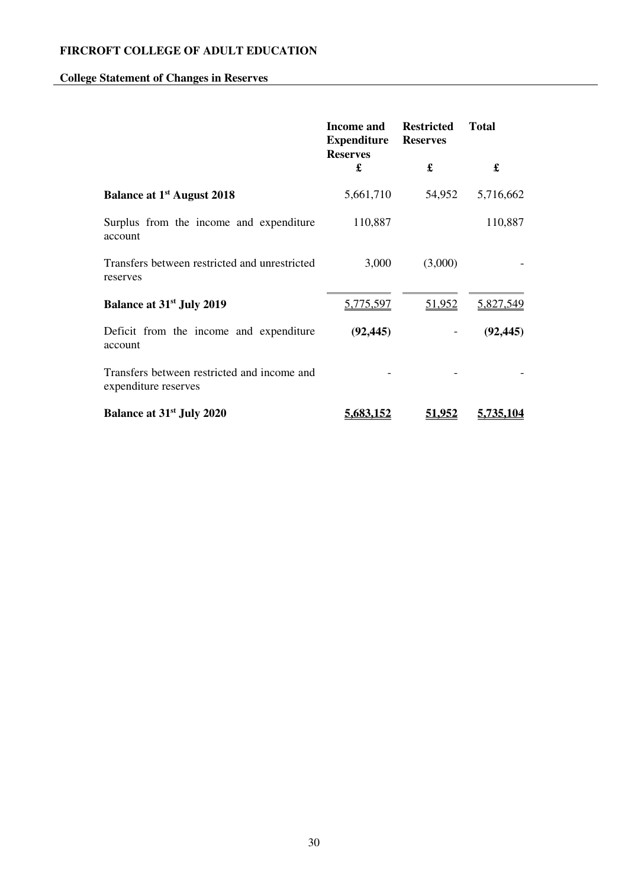# **College Statement of Changes in Reserves**

<span id="page-29-0"></span>

|                                                                     | <b>Income and</b><br><b>Expenditure</b> | <b>Restricted</b><br><b>Reserves</b> | <b>Total</b> |
|---------------------------------------------------------------------|-----------------------------------------|--------------------------------------|--------------|
|                                                                     | <b>Reserves</b><br>£                    | £                                    | £            |
| <b>Balance at 1st August 2018</b>                                   | 5,661,710                               | 54,952                               | 5,716,662    |
| Surplus from the income and expenditure<br>account                  | 110,887                                 |                                      | 110,887      |
| Transfers between restricted and unrestricted<br>reserves           | 3,000                                   | (3,000)                              |              |
| <b>Balance at 31st July 2019</b>                                    | 5,775,597                               | 51,952                               | 5,827,549    |
| Deficit from the income and expenditure<br>account                  | (92, 445)                               |                                      | (92, 445)    |
| Transfers between restricted and income and<br>expenditure reserves |                                         |                                      |              |
| <b>Balance at 31st July 2020</b>                                    | <u>5,683,152</u>                        | 51.952                               | 5.735.104    |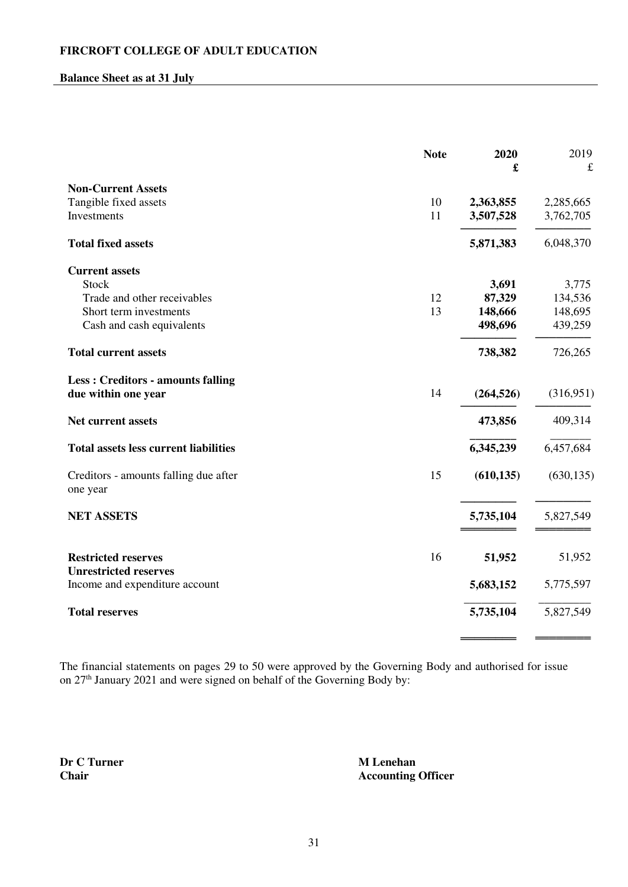# **Balance Sheet as at 31 July**

<span id="page-30-0"></span>

|                                                                 | <b>Note</b> | 2020<br>£  | 2019<br>$\pounds$ |
|-----------------------------------------------------------------|-------------|------------|-------------------|
| <b>Non-Current Assets</b>                                       |             |            |                   |
| Tangible fixed assets                                           | 10          | 2,363,855  | 2,285,665         |
| Investments                                                     | 11          | 3,507,528  | 3,762,705         |
| <b>Total fixed assets</b>                                       |             | 5,871,383  | 6,048,370         |
| <b>Current assets</b>                                           |             |            |                   |
| <b>Stock</b>                                                    |             | 3,691      | 3,775             |
| Trade and other receivables                                     | 12          | 87,329     | 134,536           |
| Short term investments                                          | 13          | 148,666    | 148,695           |
| Cash and cash equivalents                                       |             | 498,696    | 439,259           |
| <b>Total current assets</b>                                     |             | 738,382    | 726,265           |
| <b>Less: Creditors - amounts falling</b><br>due within one year | 14          | (264, 526) | (316,951)         |
| Net current assets                                              |             | 473,856    | 409,314           |
| <b>Total assets less current liabilities</b>                    |             | 6,345,239  | 6,457,684         |
| Creditors - amounts falling due after<br>one year               | 15          | (610, 135) | (630, 135)        |
| <b>NET ASSETS</b>                                               |             | 5,735,104  | 5,827,549         |
| <b>Restricted reserves</b>                                      | 16          | 51,952     | 51,952            |
| <b>Unrestricted reserves</b>                                    |             |            |                   |
| Income and expenditure account                                  |             | 5,683,152  | 5,775,597         |
| <b>Total reserves</b>                                           |             | 5,735,104  | 5,827,549         |
|                                                                 |             |            |                   |

The financial statements on pages [29](#page-28-1) to 50 were approved by the Governing Body and authorised for issue on  $27<sup>th</sup>$  January 2021 and were signed on behalf of the Governing Body by:

**Dr C Turner M Lenehan Chair** Accounting Officer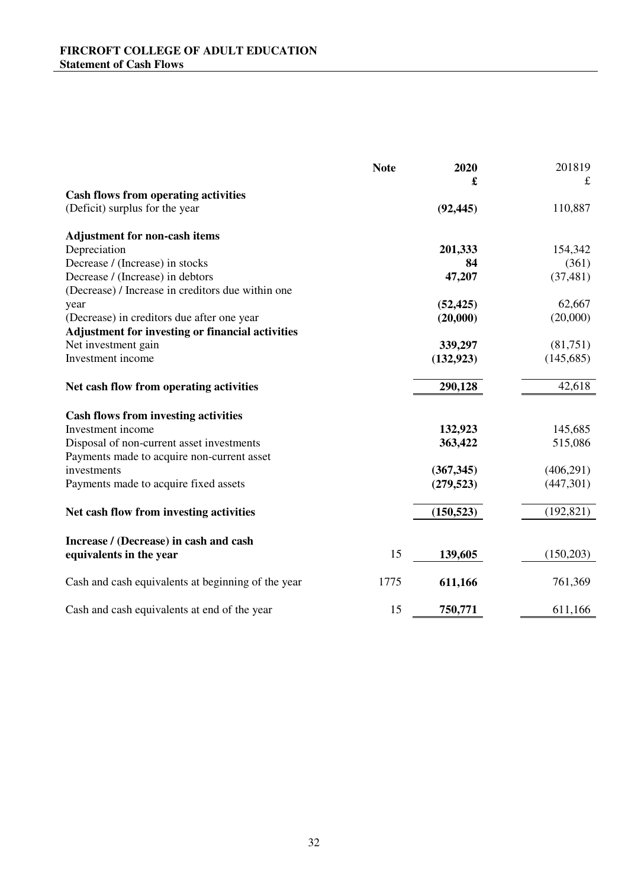<span id="page-31-0"></span>

|                                                         | <b>Note</b> | 2020       | 201819     |
|---------------------------------------------------------|-------------|------------|------------|
|                                                         |             | £          | £          |
| <b>Cash flows from operating activities</b>             |             |            |            |
| (Deficit) surplus for the year                          |             | (92, 445)  | 110,887    |
| <b>Adjustment for non-cash items</b>                    |             |            |            |
| Depreciation                                            |             | 201,333    | 154,342    |
| Decrease / (Increase) in stocks                         |             | 84         | (361)      |
| Decrease / (Increase) in debtors                        |             | 47,207     | (37, 481)  |
| (Decrease) / Increase in creditors due within one       |             |            |            |
| year                                                    |             | (52, 425)  | 62,667     |
| (Decrease) in creditors due after one year              |             | (20,000)   | (20,000)   |
| <b>Adjustment for investing or financial activities</b> |             |            |            |
| Net investment gain                                     |             | 339,297    | (81,751)   |
| Investment income                                       |             | (132, 923) | (145,685)  |
| Net cash flow from operating activities                 |             | 290,128    | 42,618     |
| <b>Cash flows from investing activities</b>             |             |            |            |
| Investment income                                       |             | 132,923    | 145,685    |
| Disposal of non-current asset investments               |             | 363,422    | 515,086    |
| Payments made to acquire non-current asset              |             |            |            |
| investments                                             |             | (367, 345) | (406, 291) |
| Payments made to acquire fixed assets                   |             | (279, 523) | (447,301)  |
| Net cash flow from investing activities                 |             | (150, 523) | (192, 821) |
|                                                         |             |            |            |
| Increase / (Decrease) in cash and cash                  |             |            |            |
| equivalents in the year                                 | 15          | 139,605    | (150,203)  |
| Cash and cash equivalents at beginning of the year      | 1775        | 611,166    | 761,369    |
| Cash and cash equivalents at end of the year            | 15          | 750,771    | 611,166    |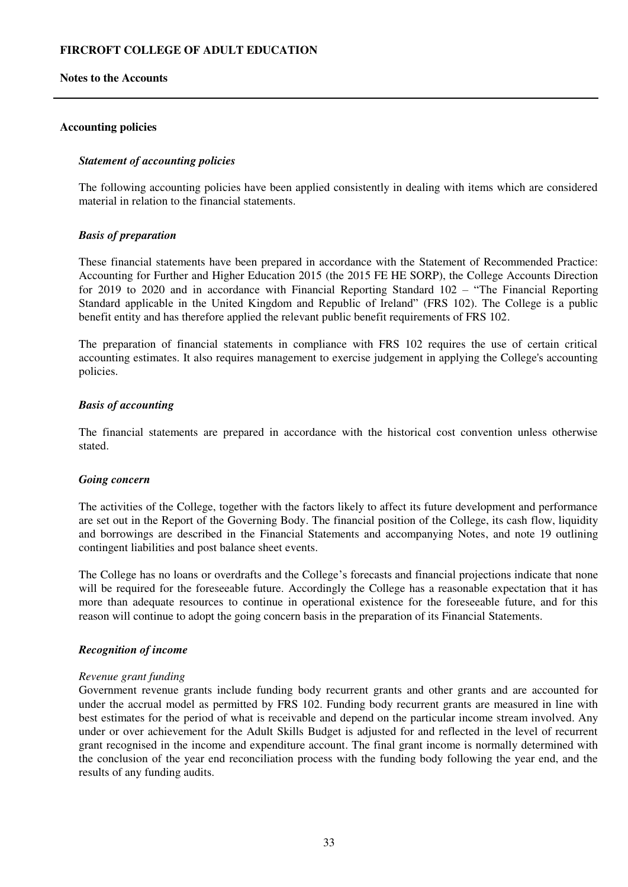#### **Notes to the Accounts**

#### **Accounting policies**

#### <span id="page-32-0"></span>*Statement of accounting policies*

The following accounting policies have been applied consistently in dealing with items which are considered material in relation to the financial statements.

#### *Basis of preparation*

These financial statements have been prepared in accordance with the Statement of Recommended Practice: Accounting for Further and Higher Education 2015 (the 2015 FE HE SORP), the College Accounts Direction for 2019 to 2020 and in accordance with Financial Reporting Standard 102 – "The Financial Reporting Standard applicable in the United Kingdom and Republic of Ireland" (FRS 102). The College is a public benefit entity and has therefore applied the relevant public benefit requirements of FRS 102.

The preparation of financial statements in compliance with FRS 102 requires the use of certain critical accounting estimates. It also requires management to exercise judgement in applying the College's accounting policies.

#### *Basis of accounting*

The financial statements are prepared in accordance with the historical cost convention unless otherwise stated.

#### *Going concern*

The activities of the College, together with the factors likely to affect its future development and performance are set out in the Report of the Governing Body. The financial position of the College, its cash flow, liquidity and borrowings are described in the Financial Statements and accompanying Notes, and note 19 outlining contingent liabilities and post balance sheet events.

The College has no loans or overdrafts and the College's forecasts and financial projections indicate that none will be required for the foreseeable future. Accordingly the College has a reasonable expectation that it has more than adequate resources to continue in operational existence for the foreseeable future, and for this reason will continue to adopt the going concern basis in the preparation of its Financial Statements.

#### *Recognition of income*

#### *Revenue grant funding*

Government revenue grants include funding body recurrent grants and other grants and are accounted for under the accrual model as permitted by FRS 102. Funding body recurrent grants are measured in line with best estimates for the period of what is receivable and depend on the particular income stream involved. Any under or over achievement for the Adult Skills Budget is adjusted for and reflected in the level of recurrent grant recognised in the income and expenditure account. The final grant income is normally determined with the conclusion of the year end reconciliation process with the funding body following the year end, and the results of any funding audits.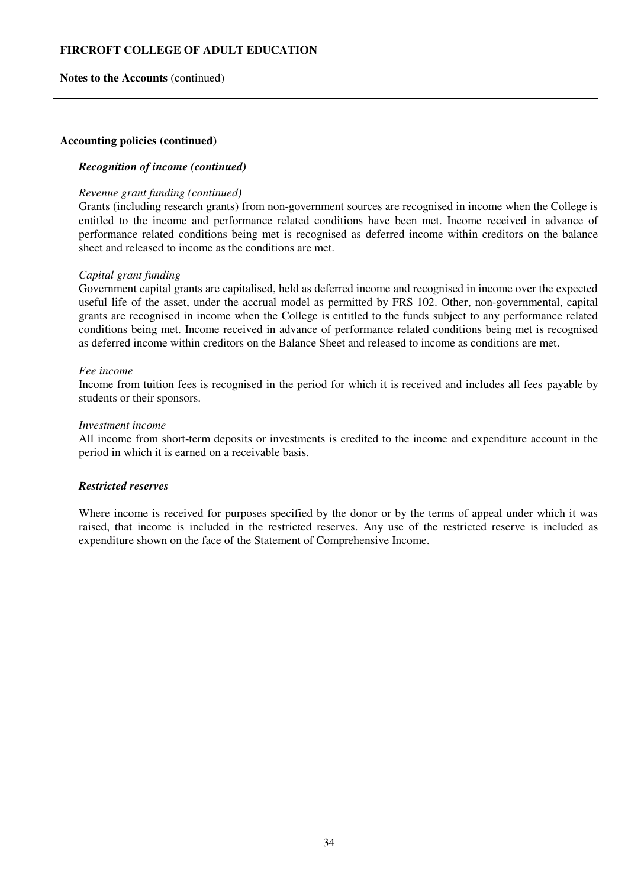### **Notes to the Accounts** (continued)

#### **Accounting policies (continued)**

## *Recognition of income (continued)*

#### *Revenue grant funding (continued)*

Grants (including research grants) from non-government sources are recognised in income when the College is entitled to the income and performance related conditions have been met. Income received in advance of performance related conditions being met is recognised as deferred income within creditors on the balance sheet and released to income as the conditions are met.

#### *Capital grant funding*

Government capital grants are capitalised, held as deferred income and recognised in income over the expected useful life of the asset, under the accrual model as permitted by FRS 102. Other, non-governmental, capital grants are recognised in income when the College is entitled to the funds subject to any performance related conditions being met. Income received in advance of performance related conditions being met is recognised as deferred income within creditors on the Balance Sheet and released to income as conditions are met.

#### *Fee income*

Income from tuition fees is recognised in the period for which it is received and includes all fees payable by students or their sponsors.

#### *Investment income*

All income from short-term deposits or investments is credited to the income and expenditure account in the period in which it is earned on a receivable basis.

#### *Restricted reserves*

Where income is received for purposes specified by the donor or by the terms of appeal under which it was raised, that income is included in the restricted reserves. Any use of the restricted reserve is included as expenditure shown on the face of the Statement of Comprehensive Income.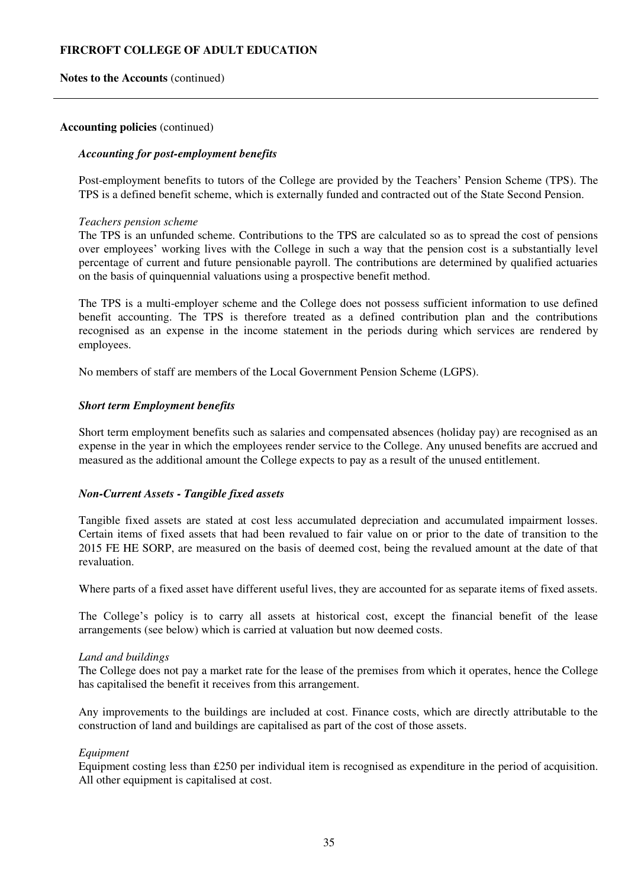**Notes to the Accounts** (continued)

#### **Accounting policies** (continued)

## *Accounting for post-employment benefits*

Post-employment benefits to tutors of the College are provided by the Teachers' Pension Scheme (TPS). The TPS is a defined benefit scheme, which is externally funded and contracted out of the State Second Pension.

#### *Teachers pension scheme*

The TPS is an unfunded scheme. Contributions to the TPS are calculated so as to spread the cost of pensions over employees' working lives with the College in such a way that the pension cost is a substantially level percentage of current and future pensionable payroll. The contributions are determined by qualified actuaries on the basis of quinquennial valuations using a prospective benefit method.

The TPS is a multi-employer scheme and the College does not possess sufficient information to use defined benefit accounting. The TPS is therefore treated as a defined contribution plan and the contributions recognised as an expense in the income statement in the periods during which services are rendered by employees.

No members of staff are members of the Local Government Pension Scheme (LGPS).

#### *Short term Employment benefits*

Short term employment benefits such as salaries and compensated absences (holiday pay) are recognised as an expense in the year in which the employees render service to the College. Any unused benefits are accrued and measured as the additional amount the College expects to pay as a result of the unused entitlement.

## *Non-Current Assets - Tangible fixed assets*

Tangible fixed assets are stated at cost less accumulated depreciation and accumulated impairment losses. Certain items of fixed assets that had been revalued to fair value on or prior to the date of transition to the 2015 FE HE SORP, are measured on the basis of deemed cost, being the revalued amount at the date of that revaluation.

Where parts of a fixed asset have different useful lives, they are accounted for as separate items of fixed assets.

The College's policy is to carry all assets at historical cost, except the financial benefit of the lease arrangements (see below) which is carried at valuation but now deemed costs.

#### *Land and buildings*

The College does not pay a market rate for the lease of the premises from which it operates, hence the College has capitalised the benefit it receives from this arrangement.

Any improvements to the buildings are included at cost. Finance costs, which are directly attributable to the construction of land and buildings are capitalised as part of the cost of those assets.

#### *Equipment*

Equipment costing less than £250 per individual item is recognised as expenditure in the period of acquisition. All other equipment is capitalised at cost.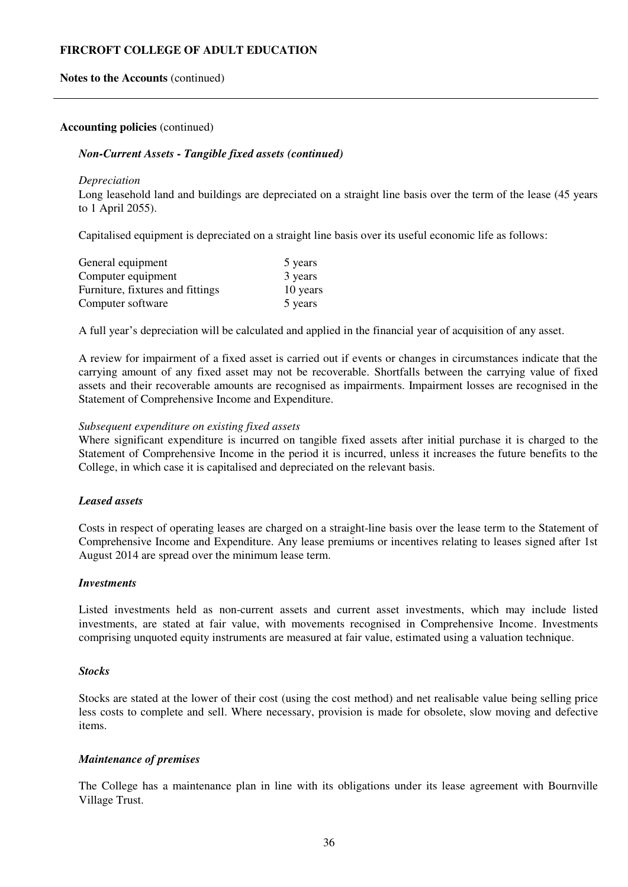#### **Notes to the Accounts** (continued)

#### **Accounting policies** (continued)

#### *Non-Current Assets - Tangible fixed assets (continued)*

#### *Depreciation*

Long leasehold land and buildings are depreciated on a straight line basis over the term of the lease (45 years to 1 April 2055).

Capitalised equipment is depreciated on a straight line basis over its useful economic life as follows:

| General equipment                | 5 years  |
|----------------------------------|----------|
| Computer equipment               | 3 years  |
| Furniture, fixtures and fittings | 10 years |
| Computer software                | 5 years  |

A full year's depreciation will be calculated and applied in the financial year of acquisition of any asset.

A review for impairment of a fixed asset is carried out if events or changes in circumstances indicate that the carrying amount of any fixed asset may not be recoverable. Shortfalls between the carrying value of fixed assets and their recoverable amounts are recognised as impairments. Impairment losses are recognised in the Statement of Comprehensive Income and Expenditure.

#### *Subsequent expenditure on existing fixed assets*

Where significant expenditure is incurred on tangible fixed assets after initial purchase it is charged to the Statement of Comprehensive Income in the period it is incurred, unless it increases the future benefits to the College, in which case it is capitalised and depreciated on the relevant basis.

### *Leased assets*

Costs in respect of operating leases are charged on a straight-line basis over the lease term to the Statement of Comprehensive Income and Expenditure. Any lease premiums or incentives relating to leases signed after 1st August 2014 are spread over the minimum lease term.

#### *Investments*

Listed investments held as non-current assets and current asset investments, which may include listed investments, are stated at fair value, with movements recognised in Comprehensive Income. Investments comprising unquoted equity instruments are measured at fair value, estimated using a valuation technique.

#### *Stocks*

Stocks are stated at the lower of their cost (using the cost method) and net realisable value being selling price less costs to complete and sell. Where necessary, provision is made for obsolete, slow moving and defective items.

#### *Maintenance of premises*

The College has a maintenance plan in line with its obligations under its lease agreement with Bournville Village Trust.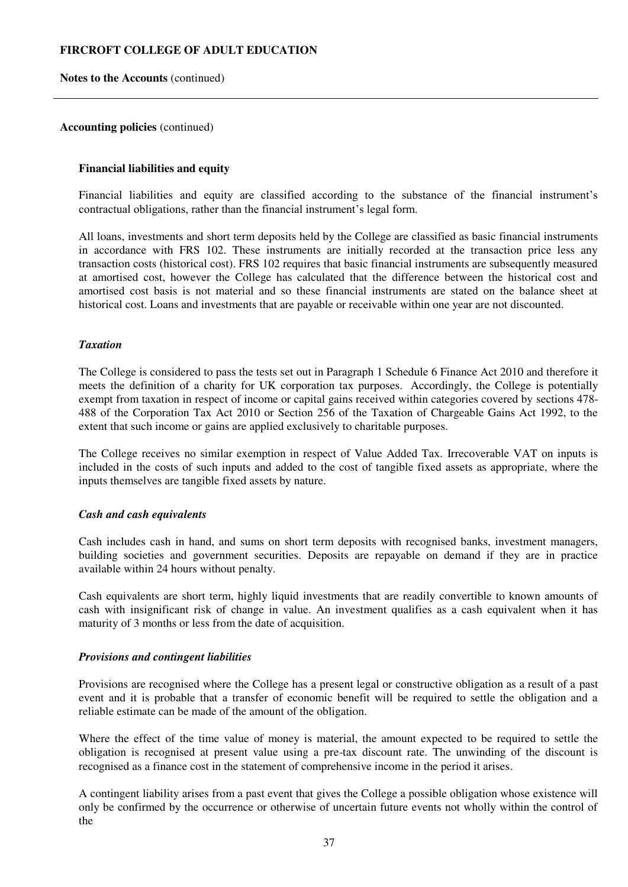**Notes to the Accounts** (continued)

#### **Accounting policies** (continued)

## **Financial liabilities and equity**

Financial liabilities and equity are classified according to the substance of the financial instrument's contractual obligations, rather than the financial instrument's legal form.

All loans, investments and short term deposits held by the College are classified as basic financial instruments in accordance with FRS 102. These instruments are initially recorded at the transaction price less any transaction costs (historical cost). FRS 102 requires that basic financial instruments are subsequently measured at amortised cost, however the College has calculated that the difference between the historical cost and amortised cost basis is not material and so these financial instruments are stated on the balance sheet at historical cost. Loans and investments that are payable or receivable within one year are not discounted.

#### *Taxation*

The College is considered to pass the tests set out in Paragraph 1 Schedule 6 Finance Act 2010 and therefore it meets the definition of a charity for UK corporation tax purposes. Accordingly, the College is potentially exempt from taxation in respect of income or capital gains received within categories covered by sections 478- 488 of the Corporation Tax Act 2010 or Section 256 of the Taxation of Chargeable Gains Act 1992, to the extent that such income or gains are applied exclusively to charitable purposes.

The College receives no similar exemption in respect of Value Added Tax. Irrecoverable VAT on inputs is included in the costs of such inputs and added to the cost of tangible fixed assets as appropriate, where the inputs themselves are tangible fixed assets by nature.

## *Cash and cash equivalents*

Cash includes cash in hand, and sums on short term deposits with recognised banks, investment managers, building societies and government securities. Deposits are repayable on demand if they are in practice available within 24 hours without penalty.

Cash equivalents are short term, highly liquid investments that are readily convertible to known amounts of cash with insignificant risk of change in value. An investment qualifies as a cash equivalent when it has maturity of 3 months or less from the date of acquisition.

#### *Provisions and contingent liabilities*

Provisions are recognised where the College has a present legal or constructive obligation as a result of a past event and it is probable that a transfer of economic benefit will be required to settle the obligation and a reliable estimate can be made of the amount of the obligation.

Where the effect of the time value of money is material, the amount expected to be required to settle the obligation is recognised at present value using a pre-tax discount rate. The unwinding of the discount is recognised as a finance cost in the statement of comprehensive income in the period it arises.

A contingent liability arises from a past event that gives the College a possible obligation whose existence will only be confirmed by the occurrence or otherwise of uncertain future events not wholly within the control of the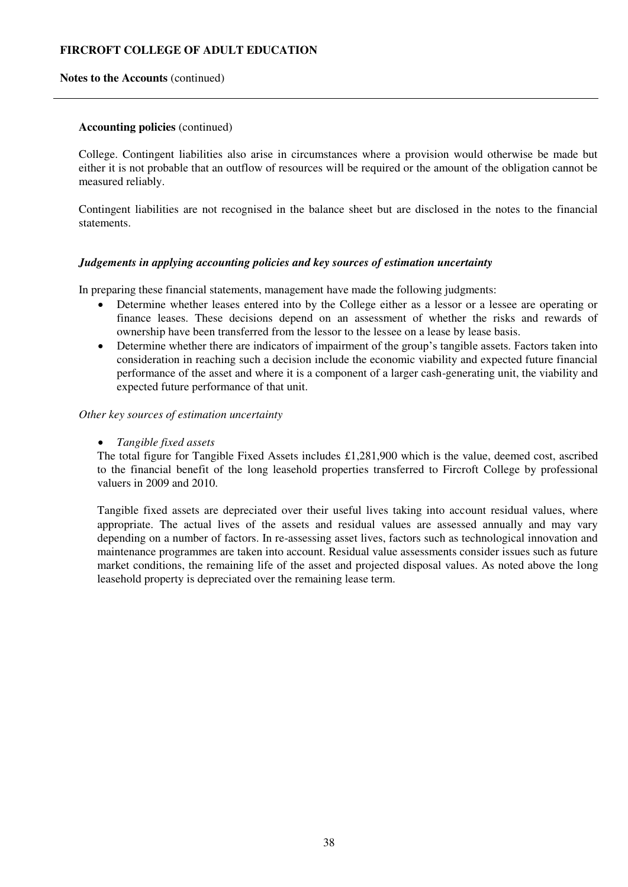#### **Notes to the Accounts** (continued)

#### **Accounting policies** (continued)

College. Contingent liabilities also arise in circumstances where a provision would otherwise be made but either it is not probable that an outflow of resources will be required or the amount of the obligation cannot be measured reliably.

Contingent liabilities are not recognised in the balance sheet but are disclosed in the notes to the financial statements.

#### *Judgements in applying accounting policies and key sources of estimation uncertainty*

In preparing these financial statements, management have made the following judgments:

- Determine whether leases entered into by the College either as a lessor or a lessee are operating or finance leases. These decisions depend on an assessment of whether the risks and rewards of ownership have been transferred from the lessor to the lessee on a lease by lease basis.
- Determine whether there are indicators of impairment of the group's tangible assets. Factors taken into consideration in reaching such a decision include the economic viability and expected future financial performance of the asset and where it is a component of a larger cash-generating unit, the viability and expected future performance of that unit.

#### *Other key sources of estimation uncertainty*

### *Tangible fixed assets*

The total figure for Tangible Fixed Assets includes £1,281,900 which is the value, deemed cost, ascribed to the financial benefit of the long leasehold properties transferred to Fircroft College by professional valuers in 2009 and 2010.

Tangible fixed assets are depreciated over their useful lives taking into account residual values, where appropriate. The actual lives of the assets and residual values are assessed annually and may vary depending on a number of factors. In re-assessing asset lives, factors such as technological innovation and maintenance programmes are taken into account. Residual value assessments consider issues such as future market conditions, the remaining life of the asset and projected disposal values. As noted above the long leasehold property is depreciated over the remaining lease term.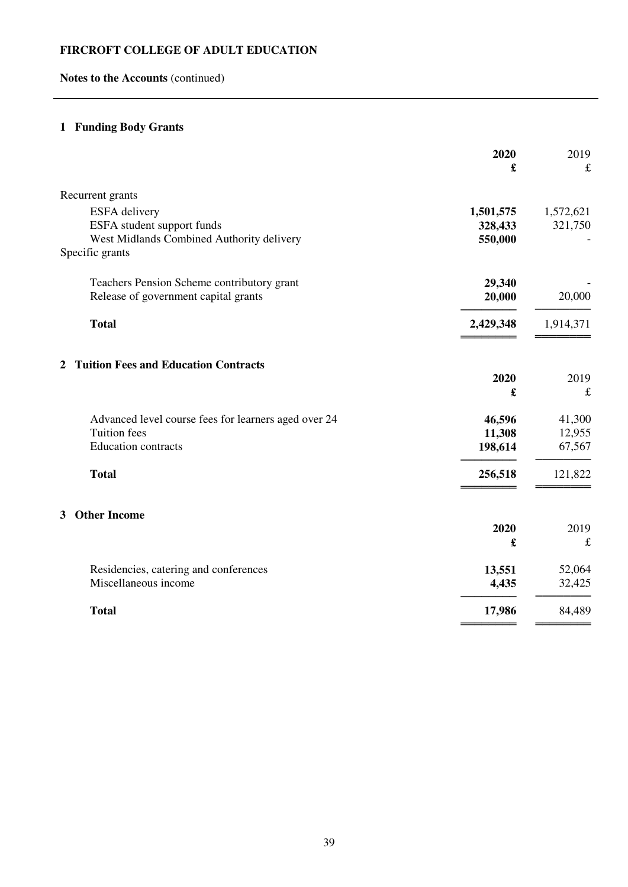# **Notes to the Accounts** (continued)

# **1 Funding Body Grants**

|                                                      | 2020      | 2019      |
|------------------------------------------------------|-----------|-----------|
|                                                      | £         | £         |
| Recurrent grants                                     |           |           |
| ESFA delivery                                        | 1,501,575 | 1,572,621 |
| ESFA student support funds                           | 328,433   | 321,750   |
| West Midlands Combined Authority delivery            | 550,000   |           |
| Specific grants                                      |           |           |
| Teachers Pension Scheme contributory grant           | 29,340    |           |
| Release of government capital grants                 | 20,000    | 20,000    |
| <b>Total</b>                                         | 2,429,348 | 1,914,371 |
|                                                      |           |           |
| <b>Tuition Fees and Education Contracts</b><br>2     |           |           |
|                                                      | 2020      | 2019      |
|                                                      | £         | $\pounds$ |
| Advanced level course fees for learners aged over 24 | 46,596    | 41,300    |
| <b>Tuition</b> fees                                  | 11,308    | 12,955    |
| Education contracts                                  | 198,614   | 67,567    |
| <b>Total</b>                                         | 256,518   | 121,822   |
|                                                      |           |           |
| <b>Other Income</b><br>3                             |           |           |
|                                                      | 2020      | 2019      |
|                                                      | £         | $\pounds$ |
| Residencies, catering and conferences                | 13,551    | 52,064    |
| Miscellaneous income                                 | 4,435     | 32,425    |
| <b>Total</b>                                         | 17,986    | 84,489    |
|                                                      |           |           |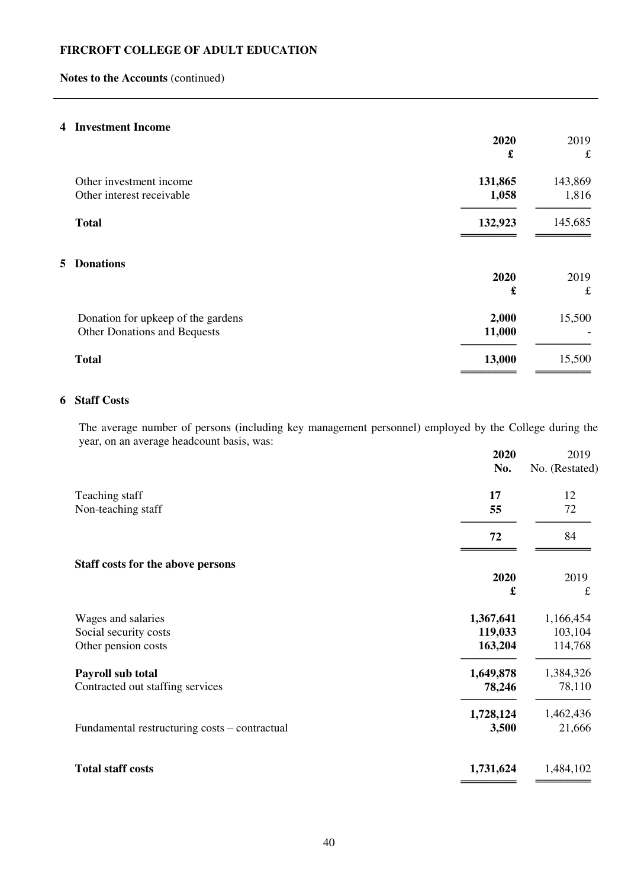# **Notes to the Accounts** (continued)

# **4 Investment Income**

|    |                                    | 2020<br>£ | 2019<br>$\mathbf f$ |
|----|------------------------------------|-----------|---------------------|
|    |                                    |           |                     |
|    | Other investment income            | 131,865   | 143,869             |
|    | Other interest receivable          | 1,058     | 1,816               |
|    | <b>Total</b>                       | 132,923   | 145,685             |
| 5. | <b>Donations</b>                   | 2020      | 2019                |
|    |                                    | £         | $\mathbf f$         |
|    | Donation for upkeep of the gardens | 2,000     | 15,500              |
|    | Other Donations and Bequests       | 11,000    |                     |
|    | <b>Total</b>                       | 13,000    | 15,500              |
|    |                                    |           |                     |

# **6 Staff Costs**

The average number of persons (including key management personnel) employed by the College during the year, on an average headcount basis, was:

| No.       | 2019<br>No. (Restated)  |
|-----------|-------------------------|
|           | 12                      |
| 55        | 72                      |
| 72        | 84                      |
|           |                         |
|           | 2019                    |
|           | $\pounds$               |
| 1,367,641 | 1,166,454               |
| 119,033   | 103,104                 |
| 163,204   | 114,768                 |
| 1,649,878 | 1,384,326               |
| 78,246    | 78,110                  |
| 1,728,124 | 1,462,436               |
| 3,500     | 21,666                  |
| 1,731,624 | 1,484,102               |
|           | 2020<br>17<br>2020<br>£ |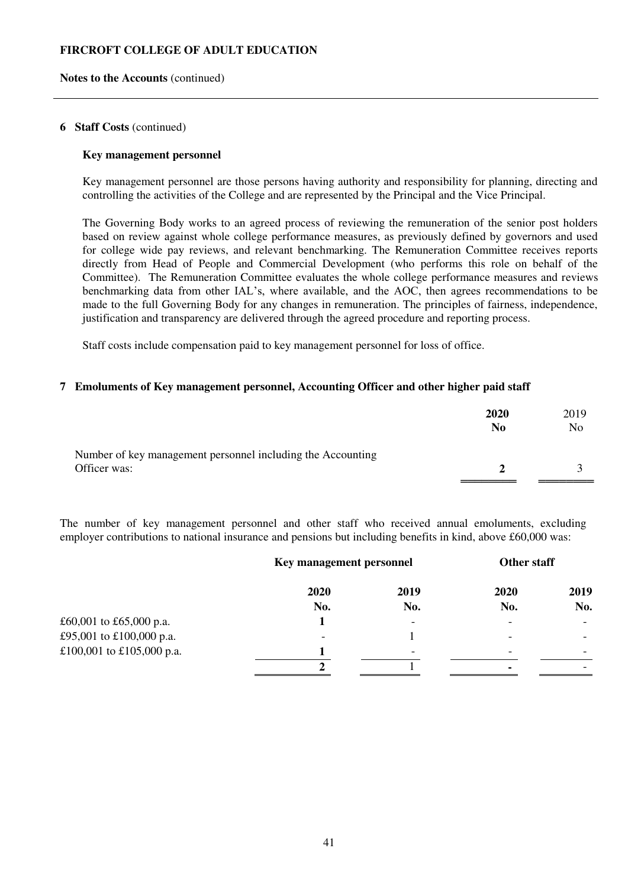#### **Notes to the Accounts** (continued)

#### **6 Staff Costs** (continued)

#### **Key management personnel**

Key management personnel are those persons having authority and responsibility for planning, directing and controlling the activities of the College and are represented by the Principal and the Vice Principal.

The Governing Body works to an agreed process of reviewing the remuneration of the senior post holders based on review against whole college performance measures, as previously defined by governors and used for college wide pay reviews, and relevant benchmarking. The Remuneration Committee receives reports directly from Head of People and Commercial Development (who performs this role on behalf of the Committee). The Remuneration Committee evaluates the whole college performance measures and reviews benchmarking data from other IAL's, where available, and the AOC, then agrees recommendations to be made to the full Governing Body for any changes in remuneration. The principles of fairness, independence, justification and transparency are delivered through the agreed procedure and reporting process.

Staff costs include compensation paid to key management personnel for loss of office.

### **7 Emoluments of Key management personnel, Accounting Officer and other higher paid staff**

|                                                                             | <b>2020</b><br>N <sub>0</sub> | 2019<br>No |
|-----------------------------------------------------------------------------|-------------------------------|------------|
| Number of key management personnel including the Accounting<br>Officer was: | $2^{\circ}$                   |            |

The number of key management personnel and other staff who received annual emoluments, excluding employer contributions to national insurance and pensions but including benefits in kind, above £60,000 was:

|                           | Key management personnel |                          | Other staff |      |
|---------------------------|--------------------------|--------------------------|-------------|------|
|                           | 2020                     | 2019                     | 2020        | 2019 |
|                           | No.                      | No.                      | No.         | No.  |
| £60,001 to £65,000 p.a.   |                          | $\overline{\phantom{a}}$ |             |      |
| £95,001 to £100,000 p.a.  |                          |                          | -           |      |
| £100,001 to £105,000 p.a. |                          | $\overline{\phantom{0}}$ |             |      |
|                           |                          |                          |             |      |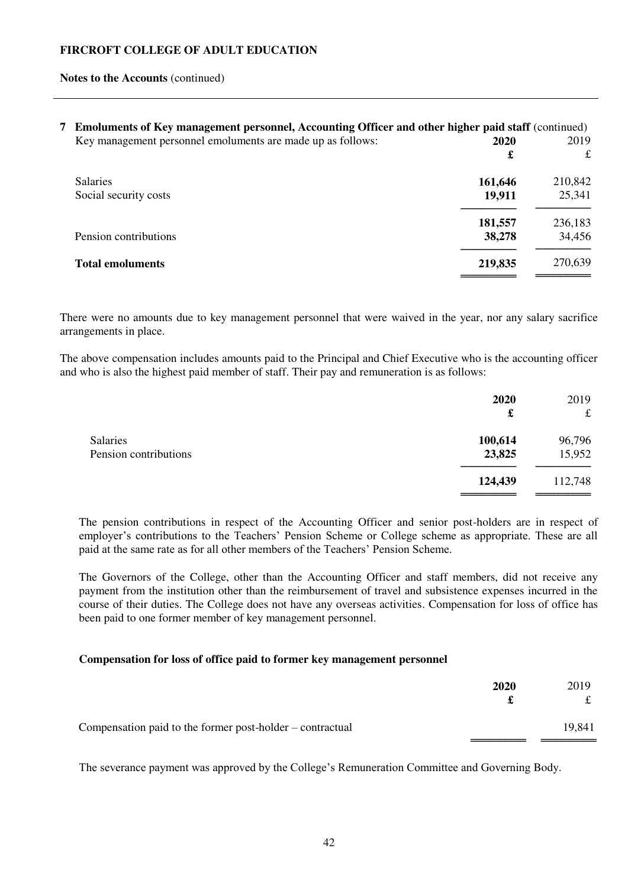#### **Notes to the Accounts** (continued)

| 7 Emoluments of Key management personnel, Accounting Officer and other higher paid staff (continued) |         |         |
|------------------------------------------------------------------------------------------------------|---------|---------|
| Key management personnel emoluments are made up as follows:                                          | 2020    | 2019    |
|                                                                                                      | £       | £       |
| <b>Salaries</b>                                                                                      | 161,646 | 210,842 |
| Social security costs                                                                                | 19,911  | 25,341  |
|                                                                                                      | 181,557 | 236,183 |
| Pension contributions                                                                                | 38,278  | 34,456  |
| <b>Total emoluments</b>                                                                              | 219,835 | 270,639 |
|                                                                                                      |         |         |

There were no amounts due to key management personnel that were waived in the year, nor any salary sacrifice arrangements in place.

The above compensation includes amounts paid to the Principal and Chief Executive who is the accounting officer and who is also the highest paid member of staff. Their pay and remuneration is as follows:

|                       | 2020<br>£ | 2019<br>$\mathbf f$ |
|-----------------------|-----------|---------------------|
| <b>Salaries</b>       | 100,614   | 96,796              |
| Pension contributions | 23,825    | 15,952              |
|                       | 124,439   | 112,748             |

The pension contributions in respect of the Accounting Officer and senior post-holders are in respect of employer's contributions to the Teachers' Pension Scheme or College scheme as appropriate. These are all paid at the same rate as for all other members of the Teachers' Pension Scheme.

The Governors of the College, other than the Accounting Officer and staff members, did not receive any payment from the institution other than the reimbursement of travel and subsistence expenses incurred in the course of their duties. The College does not have any overseas activities. Compensation for loss of office has been paid to one former member of key management personnel.

## **Compensation for loss of office paid to former key management personnel**

|                                                           | 2020 | 2019   |
|-----------------------------------------------------------|------|--------|
| Compensation paid to the former post-holder – contractual |      | 19,841 |

The severance payment was approved by the College's Remuneration Committee and Governing Body.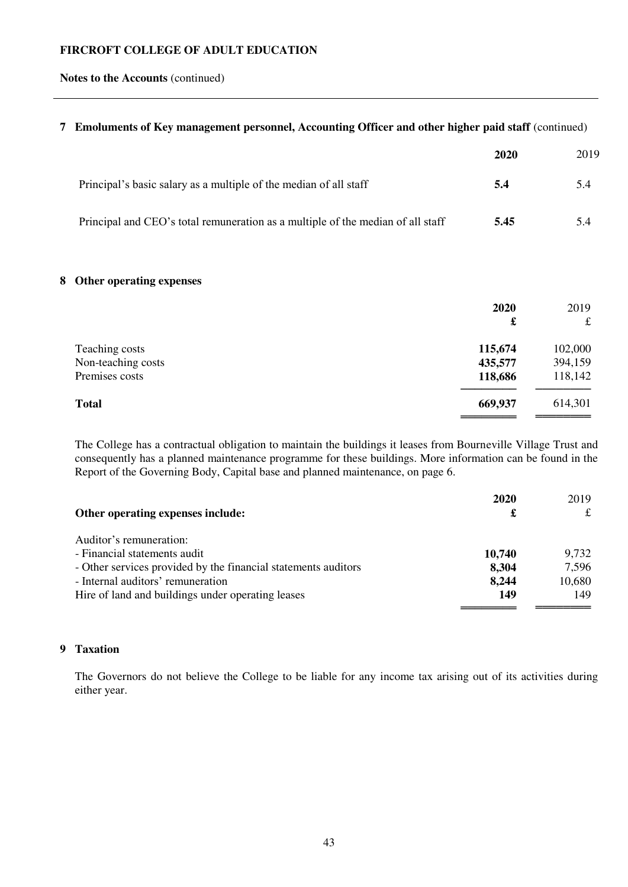**Notes to the Accounts** (continued)

## **7 Emoluments of Key management personnel, Accounting Officer and other higher paid staff** (continued)

|                                                                                 | 2020 | 2019 |
|---------------------------------------------------------------------------------|------|------|
| Principal's basic salary as a multiple of the median of all staff               | 5.4  | 5.4  |
| Principal and CEO's total remuneration as a multiple of the median of all staff | 5.45 | 5.4  |

# **8 Other operating expenses**

| 2020<br>£ | 2019<br>$\mathbf f$ |
|-----------|---------------------|
|           | 102,000             |
| 435,577   | 394,159             |
| 118,686   | 118,142             |
| 669,937   | 614,301             |
|           | 115,674             |

The College has a contractual obligation to maintain the buildings it leases from Bourneville Village Trust and consequently has a planned maintenance programme for these buildings. More information can be found in the Report of the Governing Body, Capital base and planned maintenance, on page 6.

|                                                                | 2020   | 2019   |
|----------------------------------------------------------------|--------|--------|
| Other operating expenses include:                              | £      | £      |
| Auditor's remuneration:                                        |        |        |
| - Financial statements audit                                   | 10,740 | 9,732  |
| - Other services provided by the financial statements auditors | 8,304  | 7,596  |
| - Internal auditors' remuneration                              | 8,244  | 10,680 |
| Hire of land and buildings under operating leases              | 149    | 149    |
|                                                                |        |        |

# **9 Taxation**

The Governors do not believe the College to be liable for any income tax arising out of its activities during either year.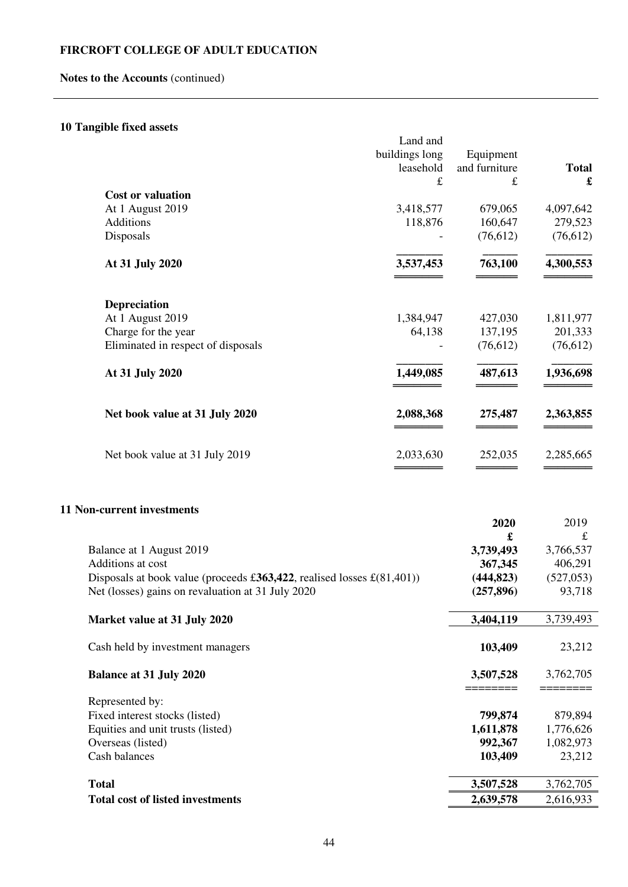# **Notes to the Accounts** (continued)

# **10 Tangible fixed assets**

|                                                                        | Land and       |               |                      |
|------------------------------------------------------------------------|----------------|---------------|----------------------|
|                                                                        | buildings long | Equipment     |                      |
|                                                                        | leasehold      | and furniture | <b>Total</b>         |
|                                                                        | £              | £             | $\pmb{\mathfrak{L}}$ |
| <b>Cost or valuation</b>                                               |                |               |                      |
| At 1 August 2019                                                       | 3,418,577      | 679,065       | 4,097,642            |
| Additions                                                              | 118,876        | 160,647       | 279,523              |
| Disposals                                                              |                | (76, 612)     | (76, 612)            |
|                                                                        |                |               |                      |
| At 31 July 2020                                                        | 3,537,453      | 763,100       | 4,300,553            |
|                                                                        |                |               |                      |
|                                                                        |                |               |                      |
| Depreciation                                                           |                |               |                      |
| At 1 August 2019                                                       | 1,384,947      | 427,030       | 1,811,977            |
| Charge for the year                                                    | 64,138         | 137,195       | 201,333              |
| Eliminated in respect of disposals                                     |                | (76, 612)     | (76,612)             |
|                                                                        |                |               |                      |
| At 31 July 2020                                                        | 1,449,085      | 487,613       | 1,936,698            |
|                                                                        |                |               |                      |
|                                                                        |                |               |                      |
| Net book value at 31 July 2020                                         | 2,088,368      | 275,487       | 2,363,855            |
|                                                                        |                |               |                      |
|                                                                        |                |               |                      |
| Net book value at 31 July 2019                                         | 2,033,630      | 252,035       | 2,285,665            |
|                                                                        |                |               |                      |
|                                                                        |                |               |                      |
|                                                                        |                |               |                      |
| <b>11 Non-current investments</b>                                      |                |               |                      |
|                                                                        |                | 2020          | 2019                 |
|                                                                        |                | £             | $\pounds$            |
| Balance at 1 August 2019                                               |                | 3,739,493     | 3,766,537            |
| Additions at cost                                                      |                | 367,345       | 406,291              |
| Disposals at book value (proceeds £363,422, realised losses £(81,401)) |                | (444, 823)    | (527, 053)           |
| Net (losses) gains on revaluation at 31 July 2020                      |                | (257, 896)    | 93,718               |
|                                                                        |                |               |                      |
| Market value at 31 July 2020                                           |                | 3,404,119     | 3,739,493            |
|                                                                        |                |               |                      |
| Cash held by investment managers                                       |                | 103,409       | 23,212               |
|                                                                        |                |               |                      |
| <b>Balance at 31 July 2020</b>                                         |                | 3,507,528     | 3,762,705            |
|                                                                        |                |               |                      |
| Represented by:                                                        |                |               |                      |
| Fixed interest stocks (listed)                                         |                | 799,874       | 879,894<br>1,776,626 |
| Equities and unit trusts (listed)                                      |                | 1,611,878     |                      |
| Overseas (listed)                                                      |                | 992,367       | 1,082,973            |
| Cash balances                                                          |                | 103,409       | 23,212               |
|                                                                        |                |               |                      |
| <b>Total</b>                                                           |                | 3,507,528     | 3,762,705            |
| <b>Total cost of listed investments</b>                                |                | 2,639,578     | 2,616,933            |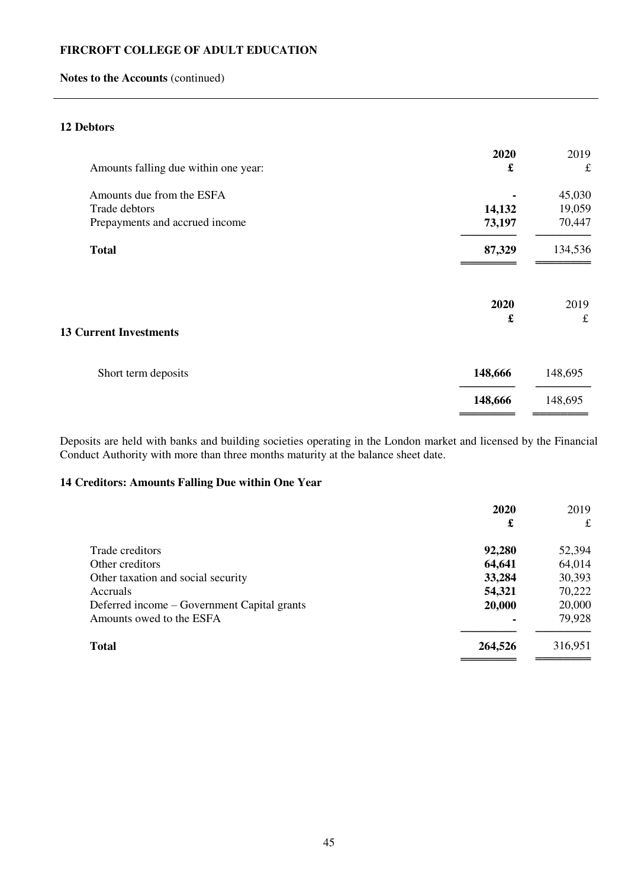# **Notes to the Accounts** (continued)

# **12 Debtors**

| 2020<br>£ | 2019<br>$\pounds$ |
|-----------|-------------------|
|           | 45,030            |
| 14,132    | 19,059            |
| 73,197    | 70,447            |
| 87,329    | 134,536           |
| 2020      | 2019              |
| £         | $\pounds$         |
| 148,666   | 148,695           |
|           | 148,695           |
|           | 148,666           |

Deposits are held with banks and building societies operating in the London market and licensed by the Financial Conduct Authority with more than three months maturity at the balance sheet date.

# **14 Creditors: Amounts Falling Due within One Year**

|         | £                |
|---------|------------------|
|         | 52,394           |
|         | 64,014           |
| 33,284  | 30,393           |
| 54,321  | 70,222           |
| 20,000  | 20,000           |
|         | 79,928           |
| 264,526 | 316,951          |
|         | 92,280<br>64,641 |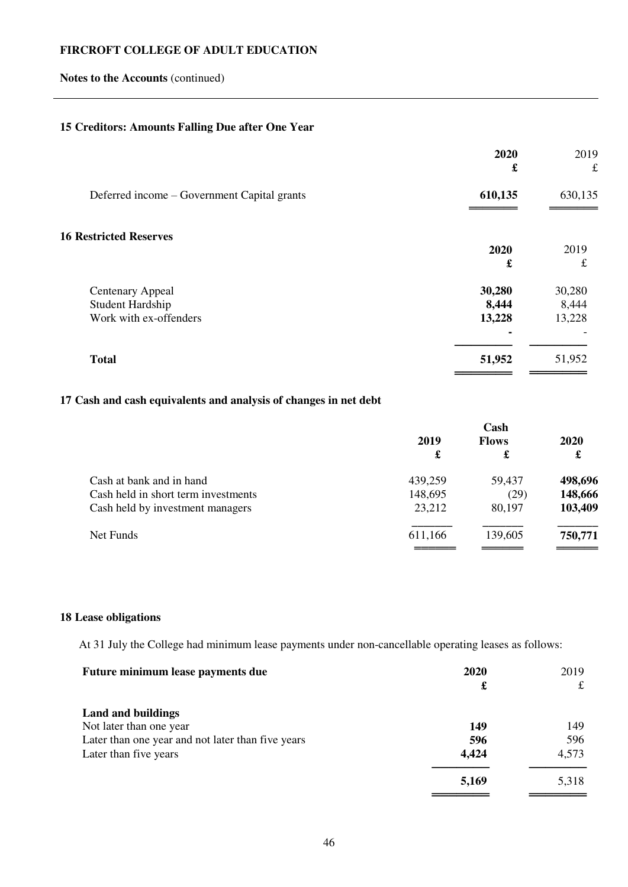# **Notes to the Accounts** (continued)

# **15 Creditors: Amounts Falling Due after One Year**

|                                             | 2020<br>£ | 2019<br>$\pounds$ |
|---------------------------------------------|-----------|-------------------|
| Deferred income – Government Capital grants | 610,135   | 630,135           |
| <b>16 Restricted Reserves</b>               |           |                   |
|                                             | 2020      | 2019              |
|                                             | £         | $\pounds$         |
| <b>Centenary Appeal</b>                     | 30,280    | 30,280            |
| Student Hardship                            | 8,444     | 8,444             |
| Work with ex-offenders                      | 13,228    | 13,228            |
|                                             |           |                   |
| <b>Total</b>                                | 51,952    | 51,952            |
|                                             |           |                   |

# **17 Cash and cash equivalents and analysis of changes in net debt**

|                                     |         | Cash         |         |  |
|-------------------------------------|---------|--------------|---------|--|
|                                     | 2019    | <b>Flows</b> | 2020    |  |
|                                     | £       | £            | £       |  |
| Cash at bank and in hand            | 439,259 | 59,437       | 498,696 |  |
| Cash held in short term investments | 148,695 | (29)         | 148,666 |  |
| Cash held by investment managers    | 23,212  | 80,197       | 103,409 |  |
| Net Funds                           | 611,166 | 139,605      | 750,771 |  |
|                                     |         |              |         |  |

# **18 Lease obligations**

At 31 July the College had minimum lease payments under non-cancellable operating leases as follows:

| Future minimum lease payments due                 | 2020  | 2019  |
|---------------------------------------------------|-------|-------|
|                                                   | £     | £     |
| <b>Land and buildings</b>                         |       |       |
| Not later than one year                           | 149   | 149   |
| Later than one year and not later than five years | 596   | 596   |
| Later than five years                             | 4,424 | 4,573 |
|                                                   | 5,169 | 5,318 |
|                                                   |       |       |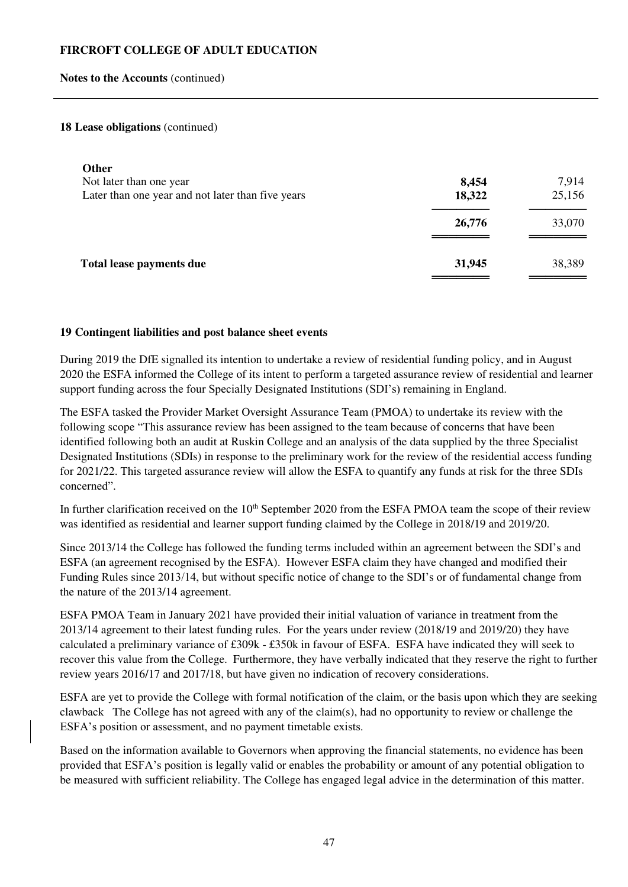#### **Notes to the Accounts** (continued)

#### **18 Lease obligations** (continued)

| <b>Other</b><br>Not later than one year<br>Later than one year and not later than five years | 8,454<br>18,322 | 7,914<br>25,156 |
|----------------------------------------------------------------------------------------------|-----------------|-----------------|
|                                                                                              | 26,776          | 33,070          |
| Total lease payments due                                                                     | 31,945          | 38,389          |

#### **19 Contingent liabilities and post balance sheet events**

During 2019 the DfE signalled its intention to undertake a review of residential funding policy, and in August 2020 the ESFA informed the College of its intent to perform a targeted assurance review of residential and learner support funding across the four Specially Designated Institutions (SDI's) remaining in England.

The ESFA tasked the Provider Market Oversight Assurance Team (PMOA) to undertake its review with the following scope "This assurance review has been assigned to the team because of concerns that have been identified following both an audit at Ruskin College and an analysis of the data supplied by the three Specialist Designated Institutions (SDIs) in response to the preliminary work for the review of the residential access funding for 2021/22. This targeted assurance review will allow the ESFA to quantify any funds at risk for the three SDIs concerned".

In further clarification received on the 10<sup>th</sup> September 2020 from the ESFA PMOA team the scope of their review was identified as residential and learner support funding claimed by the College in 2018/19 and 2019/20.

Since 2013/14 the College has followed the funding terms included within an agreement between the SDI's and ESFA (an agreement recognised by the ESFA). However ESFA claim they have changed and modified their Funding Rules since 2013/14, but without specific notice of change to the SDI's or of fundamental change from the nature of the 2013/14 agreement.

ESFA PMOA Team in January 2021 have provided their initial valuation of variance in treatment from the 2013/14 agreement to their latest funding rules. For the years under review (2018/19 and 2019/20) they have calculated a preliminary variance of £309k - £350k in favour of ESFA. ESFA have indicated they will seek to recover this value from the College. Furthermore, they have verbally indicated that they reserve the right to further review years 2016/17 and 2017/18, but have given no indication of recovery considerations.

ESFA are yet to provide the College with formal notification of the claim, or the basis upon which they are seeking clawback The College has not agreed with any of the claim(s), had no opportunity to review or challenge the ESFA's position or assessment, and no payment timetable exists.

Based on the information available to Governors when approving the financial statements, no evidence has been provided that ESFA's position is legally valid or enables the probability or amount of any potential obligation to be measured with sufficient reliability. The College has engaged legal advice in the determination of this matter.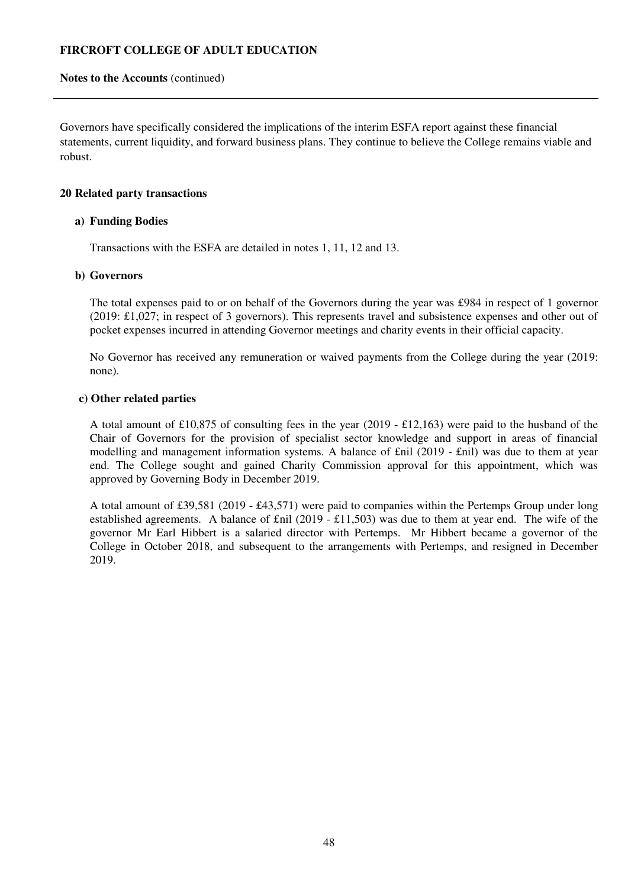### **Notes to the Accounts** (continued)

Governors have specifically considered the implications of the interim ESFA report against these financial statements, current liquidity, and forward business plans. They continue to believe the College remains viable and robust.

## **20 Related party transactions**

#### **a) Funding Bodies**

Transactions with the ESFA are detailed in notes 1, 11, 12 and 13.

#### **b) Governors**

The total expenses paid to or on behalf of the Governors during the year was £984 in respect of 1 governor (2019: £1,027; in respect of 3 governors). This represents travel and subsistence expenses and other out of pocket expenses incurred in attending Governor meetings and charity events in their official capacity.

No Governor has received any remuneration or waived payments from the College during the year (2019: none).

#### **c) Other related parties**

A total amount of £10,875 of consulting fees in the year (2019 - £12,163) were paid to the husband of the Chair of Governors for the provision of specialist sector knowledge and support in areas of financial modelling and management information systems. A balance of £nil (2019 - £nil) was due to them at year end. The College sought and gained Charity Commission approval for this appointment, which was approved by Governing Body in December 2019.

A total amount of £39,581 (2019 - £43,571) were paid to companies within the Pertemps Group under long established agreements. A balance of £nil (2019 - £11,503) was due to them at year end. The wife of the governor Mr Earl Hibbert is a salaried director with Pertemps. Mr Hibbert became a governor of the College in October 2018, and subsequent to the arrangements with Pertemps, and resigned in December 2019.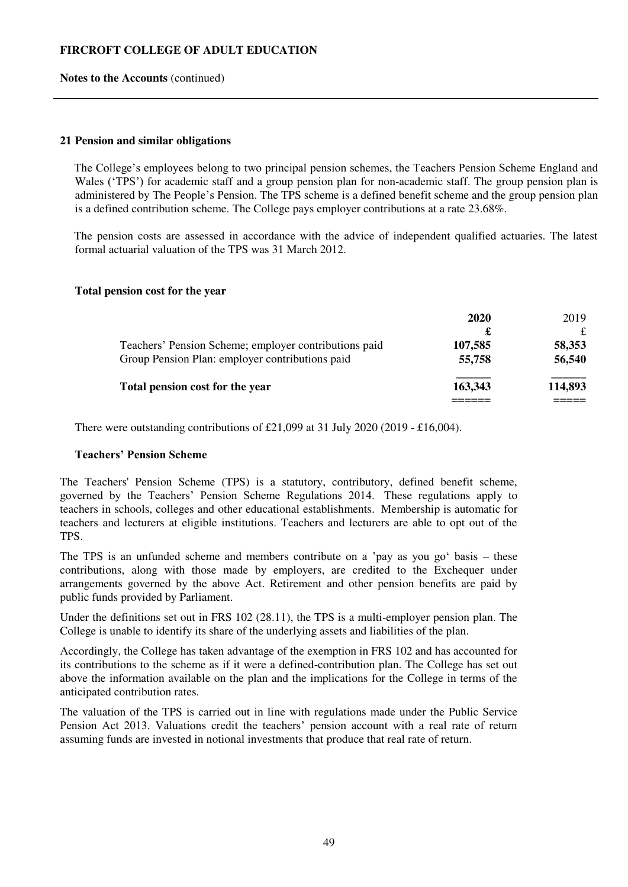#### **Notes to the Accounts** (continued)

#### **21 Pension and similar obligations**

The College's employees belong to two principal pension schemes, the Teachers Pension Scheme England and Wales ('TPS') for academic staff and a group pension plan for non-academic staff. The group pension plan is administered by The People's Pension. The TPS scheme is a defined benefit scheme and the group pension plan is a defined contribution scheme. The College pays employer contributions at a rate 23.68%.

The pension costs are assessed in accordance with the advice of independent qualified actuaries. The latest formal actuarial valuation of the TPS was 31 March 2012.

#### **Total pension cost for the year**

|                                                       | 2020    | 2019    |
|-------------------------------------------------------|---------|---------|
|                                                       |         |         |
| Teachers' Pension Scheme; employer contributions paid | 107,585 | 58,353  |
| Group Pension Plan: employer contributions paid       | 55,758  | 56,540  |
| Total pension cost for the year                       | 163,343 | 114,893 |
|                                                       |         |         |

There were outstanding contributions of £21,099 at 31 July 2020 (2019 - £16,004).

## **Teachers' Pension Scheme**

The Teachers' Pension Scheme (TPS) is a statutory, contributory, defined benefit scheme, governed by the Teachers' Pension Scheme Regulations 2014. These regulations apply to teachers in schools, colleges and other educational establishments. Membership is automatic for teachers and lecturers at eligible institutions. Teachers and lecturers are able to opt out of the TPS.

The TPS is an unfunded scheme and members contribute on a 'pay as you go' basis – these contributions, along with those made by employers, are credited to the Exchequer under arrangements governed by the above Act. Retirement and other pension benefits are paid by public funds provided by Parliament.

Under the definitions set out in FRS 102 (28.11), the TPS is a multi-employer pension plan. The College is unable to identify its share of the underlying assets and liabilities of the plan.

Accordingly, the College has taken advantage of the exemption in FRS 102 and has accounted for its contributions to the scheme as if it were a defined-contribution plan. The College has set out above the information available on the plan and the implications for the College in terms of the anticipated contribution rates.

The valuation of the TPS is carried out in line with regulations made under the Public Service Pension Act 2013. Valuations credit the teachers' pension account with a real rate of return assuming funds are invested in notional investments that produce that real rate of return.